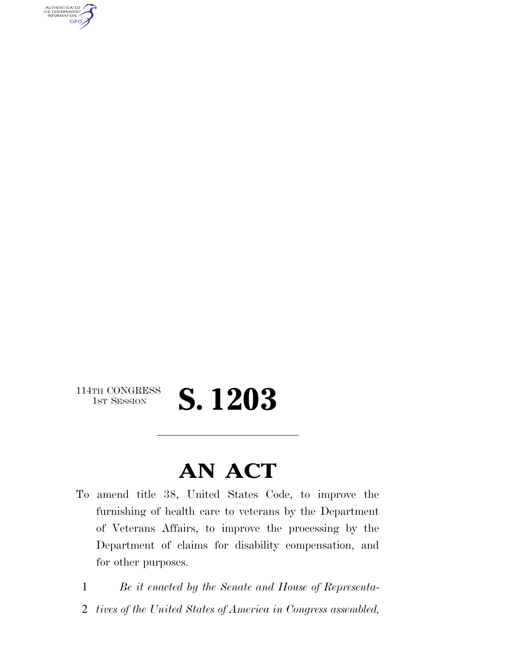AUTHENTICATED<br>U.S. GOVERNMENT<br>INFORMATION **GPO** 

## 114TH CONGRESS<br>1st Session 1ST SESSION **S. 1203**

## **AN ACT**

- To amend title 38, United States Code, to improve the furnishing of health care to veterans by the Department of Veterans Affairs, to improve the processing by the Department of claims for disability compensation, and for other purposes.
	- 1 *Be it enacted by the Senate and House of Representa-*
- 2 *tives of the United States of America in Congress assembled,*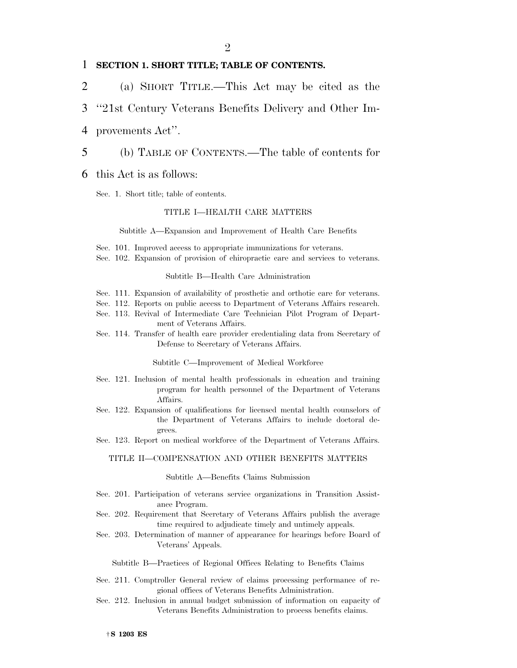### 1 **SECTION 1. SHORT TITLE; TABLE OF CONTENTS.**

2 (a) SHORT TITLE.—This Act may be cited as the

## 3 ''21st Century Veterans Benefits Delivery and Other Im-

4 provements Act''.

#### 5 (b) TABLE OF CONTENTS.—The table of contents for

#### 6 this Act is as follows:

Sec. 1. Short title; table of contents.

#### TITLE I—HEALTH CARE MATTERS

#### Subtitle A—Expansion and Improvement of Health Care Benefits

- Sec. 101. Improved access to appropriate immunizations for veterans.
- Sec. 102. Expansion of provision of chiropractic care and services to veterans.

#### Subtitle B—Health Care Administration

- Sec. 111. Expansion of availability of prosthetic and orthotic care for veterans.
- Sec. 112. Reports on public access to Department of Veterans Affairs research.
- Sec. 113. Revival of Intermediate Care Technician Pilot Program of Department of Veterans Affairs.
- Sec. 114. Transfer of health care provider credentialing data from Secretary of Defense to Secretary of Veterans Affairs.

Subtitle C—Improvement of Medical Workforce

- Sec. 121. Inclusion of mental health professionals in education and training program for health personnel of the Department of Veterans Affairs.
- Sec. 122. Expansion of qualifications for licensed mental health counselors of the Department of Veterans Affairs to include doctoral degrees.
- Sec. 123. Report on medical workforce of the Department of Veterans Affairs.

#### TITLE II—COMPENSATION AND OTHER BENEFITS MATTERS

#### Subtitle A—Benefits Claims Submission

- Sec. 201. Participation of veterans service organizations in Transition Assistance Program.
- Sec. 202. Requirement that Secretary of Veterans Affairs publish the average time required to adjudicate timely and untimely appeals.
- Sec. 203. Determination of manner of appearance for hearings before Board of Veterans' Appeals.

Subtitle B—Practices of Regional Offices Relating to Benefits Claims

- Sec. 211. Comptroller General review of claims processing performance of regional offices of Veterans Benefits Administration.
- Sec. 212. Inclusion in annual budget submission of information on capacity of Veterans Benefits Administration to process benefits claims.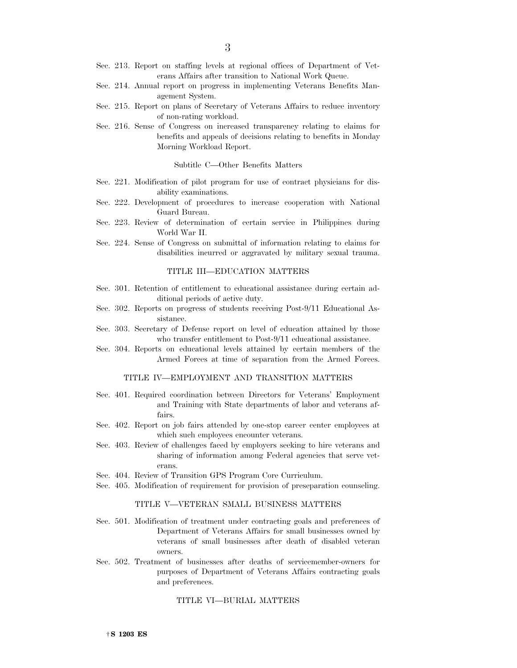- Sec. 213. Report on staffing levels at regional offices of Department of Veterans Affairs after transition to National Work Queue.
- Sec. 214. Annual report on progress in implementing Veterans Benefits Management System.
- Sec. 215. Report on plans of Secretary of Veterans Affairs to reduce inventory of non-rating workload.
- Sec. 216. Sense of Congress on increased transparency relating to claims for benefits and appeals of decisions relating to benefits in Monday Morning Workload Report.

Subtitle C—Other Benefits Matters

- Sec. 221. Modification of pilot program for use of contract physicians for disability examinations.
- Sec. 222. Development of procedures to increase cooperation with National Guard Bureau.
- Sec. 223. Review of determination of certain service in Philippines during World War II.
- Sec. 224. Sense of Congress on submittal of information relating to claims for disabilities incurred or aggravated by military sexual trauma.

#### TITLE III—EDUCATION MATTERS

- Sec. 301. Retention of entitlement to educational assistance during certain additional periods of active duty.
- Sec. 302. Reports on progress of students receiving Post-9/11 Educational Assistance.
- Sec. 303. Secretary of Defense report on level of education attained by those who transfer entitlement to Post-9/11 educational assistance.
- Sec. 304. Reports on educational levels attained by certain members of the Armed Forces at time of separation from the Armed Forces.

#### TITLE IV—EMPLOYMENT AND TRANSITION MATTERS

- Sec. 401. Required coordination between Directors for Veterans' Employment and Training with State departments of labor and veterans affairs.
- Sec. 402. Report on job fairs attended by one-stop career center employees at which such employees encounter veterans.
- Sec. 403. Review of challenges faced by employers seeking to hire veterans and sharing of information among Federal agencies that serve veterans.
- Sec. 404. Review of Transition GPS Program Core Curriculum.
- Sec. 405. Modification of requirement for provision of preseparation counseling.

#### TITLE V—VETERAN SMALL BUSINESS MATTERS

- Sec. 501. Modification of treatment under contracting goals and preferences of Department of Veterans Affairs for small businesses owned by veterans of small businesses after death of disabled veteran owners.
- Sec. 502. Treatment of businesses after deaths of servicemember-owners for purposes of Department of Veterans Affairs contracting goals and preferences.

#### TITLE VI—BURIAL MATTERS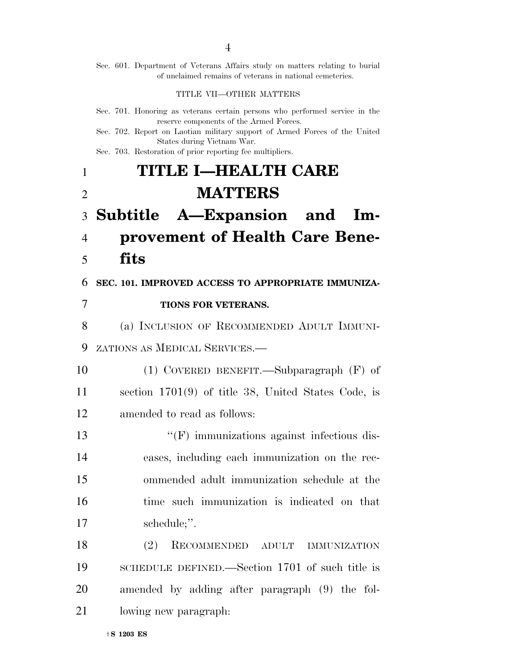|                | Sec. 601. Department of Veterans Affairs study on matters relating to burial<br>of unclaimed remains of veterans in national cemeteries. |
|----------------|------------------------------------------------------------------------------------------------------------------------------------------|
|                | TITLE VII-OTHER MATTERS                                                                                                                  |
|                | Sec. 701. Honoring as veterans certain persons who performed service in the<br>reserve components of the Armed Forces.                   |
|                | Sec. 702. Report on Laotian military support of Armed Forces of the United<br>States during Vietnam War.                                 |
|                | Sec. 703. Restoration of prior reporting fee multipliers.                                                                                |
| 1              | TITLE I-HEALTH CARE                                                                                                                      |
| $\overline{2}$ | <b>MATTERS</b>                                                                                                                           |
| 3              | Subtitle A-Expansion and Im-                                                                                                             |
| 4              | provement of Health Care Bene-                                                                                                           |
| 5              | fits                                                                                                                                     |
| 6              | SEC. 101. IMPROVED ACCESS TO APPROPRIATE IMMUNIZA-                                                                                       |
| 7              | TIONS FOR VETERANS.                                                                                                                      |
| 8              | (a) INCLUSION OF RECOMMENDED ADULT IMMUNI-                                                                                               |
| 9              | ZATIONS AS MEDICAL SERVICES.—                                                                                                            |
| 10             | $(1)$ COVERED BENEFIT.—Subparagraph $(F)$ of                                                                                             |
| 11             | section $1701(9)$ of title 38, United States Code, is                                                                                    |
| 12             | amended to read as follows:                                                                                                              |
| 13             | $\lq\lq(F)$ immunizations against infectious dis-                                                                                        |
| 14             | eases, including each immunization on the rec-                                                                                           |
| 15             | ommended adult immunization schedule at the                                                                                              |
| 16             | time such immunization is indicated on that                                                                                              |
| 17             | schedule;".                                                                                                                              |
| 18             | (2)<br>RECOMMENDED ADULT<br><b>IMMUNIZATION</b>                                                                                          |
| 19             | SCHEDULE DEFINED.—Section 1701 of such title is                                                                                          |
| 20             | amended by adding after paragraph (9) the fol-                                                                                           |
| 21             | lowing new paragraph.                                                                                                                    |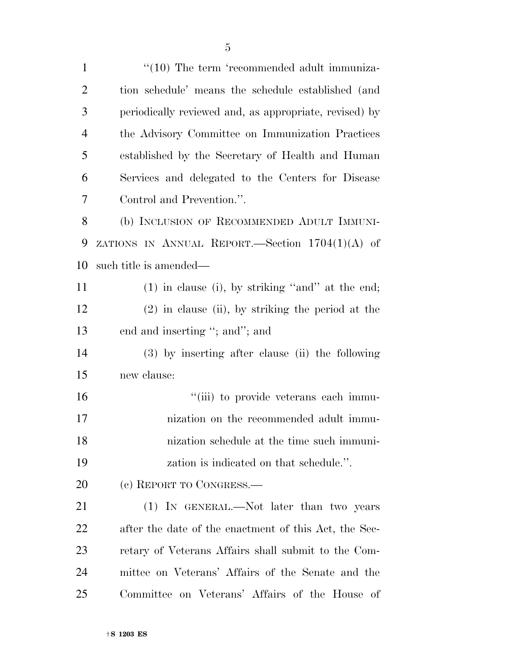1 ''(10) The term 'recommended adult immuniza- tion schedule' means the schedule established (and periodically reviewed and, as appropriate, revised) by the Advisory Committee on Immunization Practices established by the Secretary of Health and Human Services and delegated to the Centers for Disease Control and Prevention.''. (b) INCLUSION OF RECOMMENDED ADULT IMMUNI- ZATIONS IN ANNUAL REPORT.—Section 1704(1)(A) of such title is amended— (1) in clause (i), by striking ''and'' at the end; (2) in clause (ii), by striking the period at the end and inserting ''; and''; and (3) by inserting after clause (ii) the following new clause:  $"$ (iii) to provide veterans each immu- nization on the recommended adult immu- nization schedule at the time such immuni- zation is indicated on that schedule.''. (c) REPORT TO CONGRESS.— 21 (1) IN GENERAL.—Not later than two years after the date of the enactment of this Act, the Sec- retary of Veterans Affairs shall submit to the Com-mittee on Veterans' Affairs of the Senate and the

Committee on Veterans' Affairs of the House of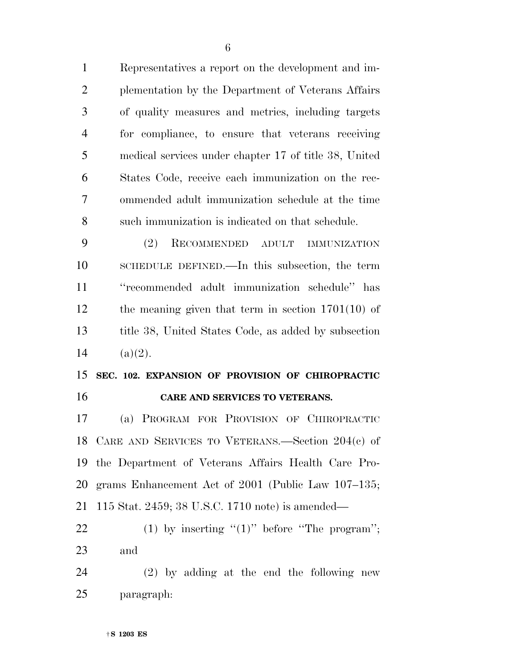Representatives a report on the development and im- plementation by the Department of Veterans Affairs of quality measures and metrics, including targets for compliance, to ensure that veterans receiving medical services under chapter 17 of title 38, United States Code, receive each immunization on the rec- ommended adult immunization schedule at the time such immunization is indicated on that schedule.

 (2) RECOMMENDED ADULT IMMUNIZATION SCHEDULE DEFINED.—In this subsection, the term ''recommended adult immunization schedule'' has the meaning given that term in section 1701(10) of title 38, United States Code, as added by subsection 14  $(a)(2)$ .

## **SEC. 102. EXPANSION OF PROVISION OF CHIROPRACTIC CARE AND SERVICES TO VETERANS.**

 (a) PROGRAM FOR PROVISION OF CHIROPRACTIC CARE AND SERVICES TO VETERANS.—Section 204(c) of the Department of Veterans Affairs Health Care Pro- grams Enhancement Act of 2001 (Public Law 107–135; 115 Stat. 2459; 38 U.S.C. 1710 note) is amended—

22 (1) by inserting  $(1)$ " before "The program"; and

 (2) by adding at the end the following new paragraph: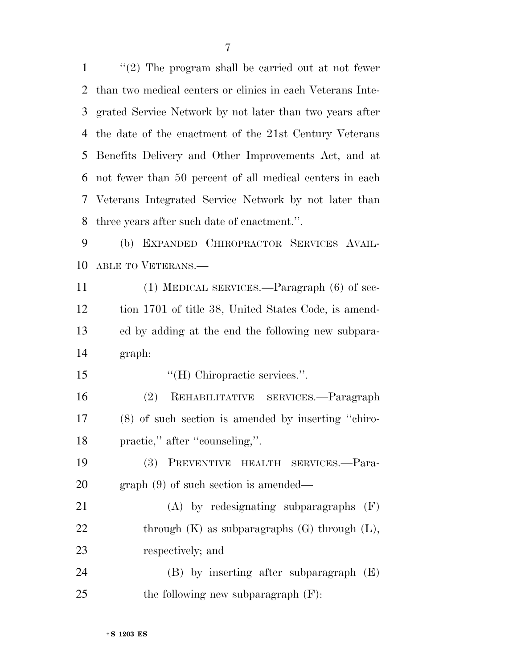''(2) The program shall be carried out at not fewer than two medical centers or clinics in each Veterans Inte- grated Service Network by not later than two years after the date of the enactment of the 21st Century Veterans Benefits Delivery and Other Improvements Act, and at not fewer than 50 percent of all medical centers in each Veterans Integrated Service Network by not later than three years after such date of enactment.''. (b) EXPANDED CHIROPRACTOR SERVICES AVAIL- ABLE TO VETERANS.— (1) MEDICAL SERVICES.—Paragraph (6) of sec- tion 1701 of title 38, United States Code, is amend- ed by adding at the end the following new subpara- graph:  $H$  (H) Chiropractic services.". (2) REHABILITATIVE SERVICES.—Paragraph (8) of such section is amended by inserting ''chiro-18 practic," after "counseling,". (3) PREVENTIVE HEALTH SERVICES.—Para- graph (9) of such section is amended— (A) by redesignating subparagraphs (F) 22 through  $(K)$  as subparagraphs  $(G)$  through  $(L)$ , respectively; and (B) by inserting after subparagraph (E) 25 the following new subparagraph  $(F)$ :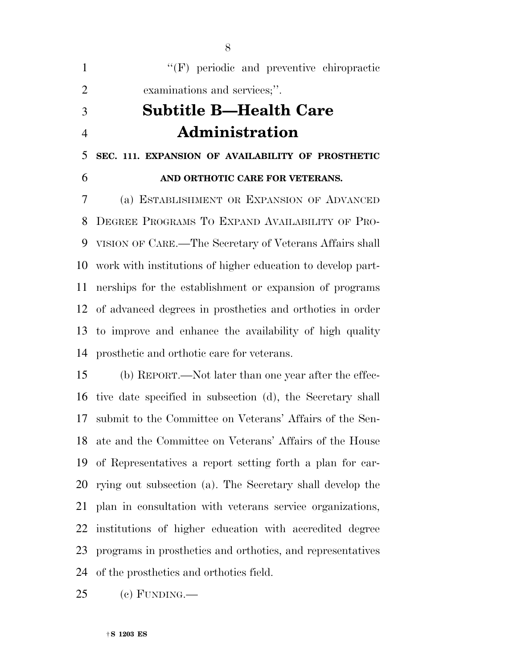| $\mathbf{1}$   | "(F) periodic and preventive chiropractic                   |
|----------------|-------------------------------------------------------------|
| $\overline{2}$ | examinations and services;".                                |
| 3              | <b>Subtitle B—Health Care</b>                               |
| $\overline{4}$ | <b>Administration</b>                                       |
| 5              | SEC. 111. EXPANSION OF AVAILABILITY OF PROSTHETIC           |
| 6              | AND ORTHOTIC CARE FOR VETERANS.                             |
| 7              | (a) ESTABLISHMENT OR EXPANSION OF ADVANCED                  |
| 8              | DEGREE PROGRAMS TO EXPAND AVAILABILITY OF PRO-              |
| 9              | VISION OF CARE.—The Secretary of Veterans Affairs shall     |
| 10             | work with institutions of higher education to develop part- |
| 11             | nerships for the establishment or expansion of programs     |
| 12             | of advanced degrees in prosthetics and orthotics in order   |
| 13             | to improve and enhance the availability of high quality     |
| 14             | prosthetic and orthotic care for veterans.                  |
| 15             | (b) REPORT.—Not later than one year after the effec-        |
| 16             | tive date specified in subsection (d), the Secretary shall  |
|                |                                                             |

 submit to the Committee on Veterans' Affairs of the Sen- ate and the Committee on Veterans' Affairs of the House of Representatives a report setting forth a plan for car- rying out subsection (a). The Secretary shall develop the plan in consultation with veterans service organizations, institutions of higher education with accredited degree programs in prosthetics and orthotics, and representatives of the prosthetics and orthotics field.

(c) FUNDING.—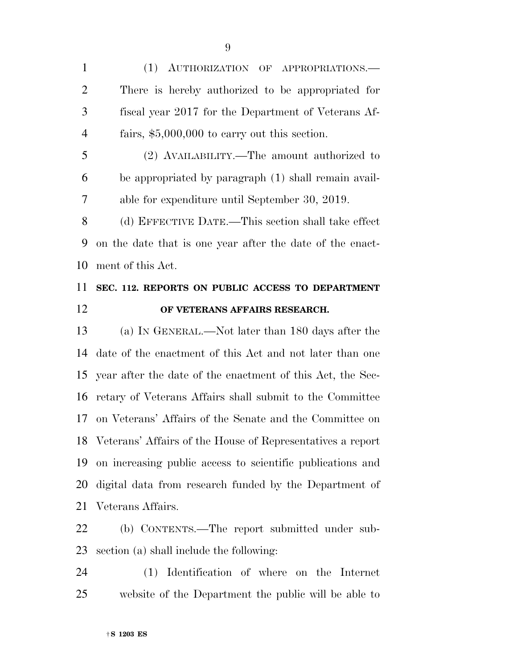(1) AUTHORIZATION OF APPROPRIATIONS.— There is hereby authorized to be appropriated for fiscal year 2017 for the Department of Veterans Af-fairs, \$5,000,000 to carry out this section.

 (2) AVAILABILITY.—The amount authorized to be appropriated by paragraph (1) shall remain avail-able for expenditure until September 30, 2019.

 (d) EFFECTIVE DATE.—This section shall take effect on the date that is one year after the date of the enact-ment of this Act.

## **SEC. 112. REPORTS ON PUBLIC ACCESS TO DEPARTMENT OF VETERANS AFFAIRS RESEARCH.**

 (a) IN GENERAL.—Not later than 180 days after the date of the enactment of this Act and not later than one year after the date of the enactment of this Act, the Sec- retary of Veterans Affairs shall submit to the Committee on Veterans' Affairs of the Senate and the Committee on Veterans' Affairs of the House of Representatives a report on increasing public access to scientific publications and digital data from research funded by the Department of Veterans Affairs.

 (b) CONTENTS.—The report submitted under sub-section (a) shall include the following:

 (1) Identification of where on the Internet website of the Department the public will be able to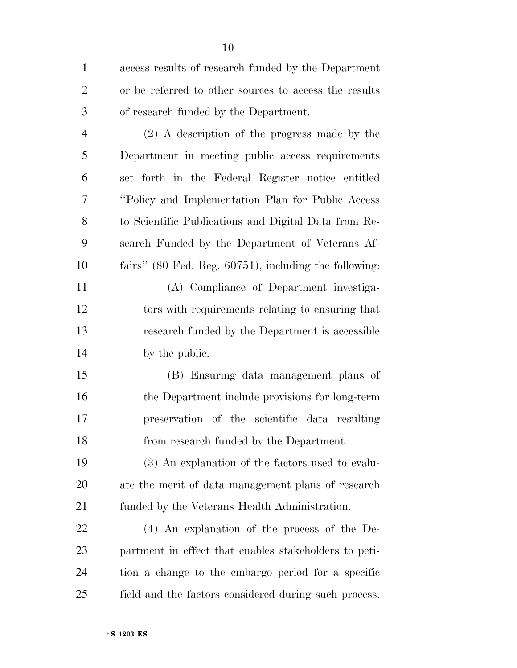access results of research funded by the Department or be referred to other sources to access the results of research funded by the Department.

 (2) A description of the progress made by the Department in meeting public access requirements set forth in the Federal Register notice entitled ''Policy and Implementation Plan for Public Access to Scientific Publications and Digital Data from Re- search Funded by the Department of Veterans Af-fairs'' (80 Fed. Reg. 60751), including the following:

 (A) Compliance of Department investiga- tors with requirements relating to ensuring that research funded by the Department is accessible by the public.

 (B) Ensuring data management plans of the Department include provisions for long-term preservation of the scientific data resulting from research funded by the Department.

 (3) An explanation of the factors used to evalu- ate the merit of data management plans of research funded by the Veterans Health Administration.

 (4) An explanation of the process of the De- partment in effect that enables stakeholders to peti- tion a change to the embargo period for a specific field and the factors considered during such process.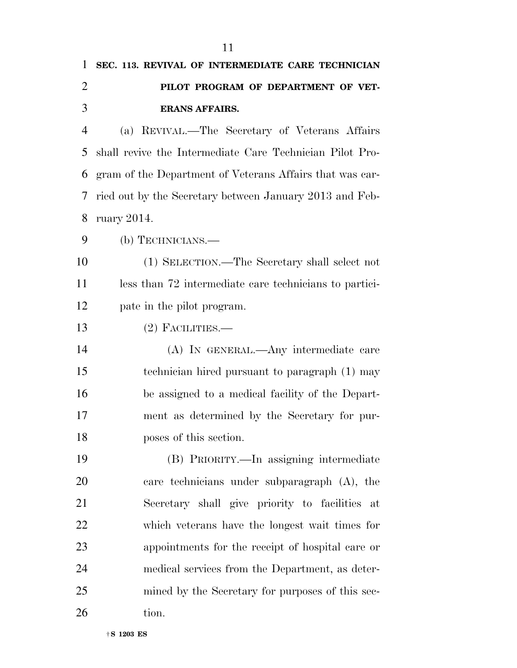| 1              | SEC. 113. REVIVAL OF INTERMEDIATE CARE TECHNICIAN        |
|----------------|----------------------------------------------------------|
| $\overline{2}$ | PILOT PROGRAM OF DEPARTMENT OF VET-                      |
| 3              | <b>ERANS AFFAIRS.</b>                                    |
| $\overline{4}$ | (a) REVIVAL.—The Secretary of Veterans Affairs           |
| 5              | shall revive the Intermediate Care Technician Pilot Pro- |
| 6              | gram of the Department of Veterans Affairs that was car- |
| 7              | ried out by the Secretary between January 2013 and Feb-  |
| 8              | ruary $2014$ .                                           |
| 9              | (b) TECHNICIANS.—                                        |
| 10             | (1) SELECTION.—The Secretary shall select not            |
| 11             | less than 72 intermediate care technicians to partici-   |
| 12             | pate in the pilot program.                               |
| 13             | $(2)$ FACILITIES.—                                       |
| 14             | (A) IN GENERAL.—Any intermediate care                    |
| 15             | technician hired pursuant to paragraph (1) may           |
| 16             | be assigned to a medical facility of the Depart-         |
| 17             | ment as determined by the Secretary for pur-             |
| 18             | poses of this section.                                   |
| 19             | (B) PRIORITY.—In assigning intermediate                  |
| 20             | care technicians under subparagraph (A), the             |
| 21             | Secretary shall give priority to facilities at           |
| 22             | which veterans have the longest wait times for           |
| 23             | appointments for the receipt of hospital care or         |
| 24             | medical services from the Department, as deter-          |
| 25             | mined by the Secretary for purposes of this sec-         |
| 26             | tion.                                                    |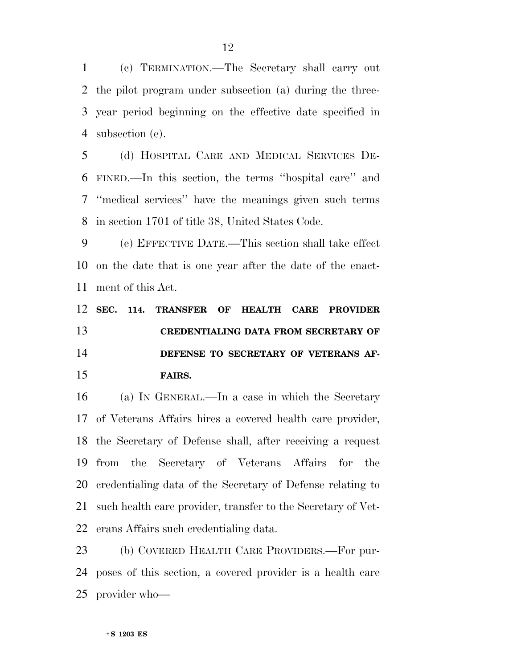(c) TERMINATION.—The Secretary shall carry out the pilot program under subsection (a) during the three- year period beginning on the effective date specified in subsection (e).

 (d) HOSPITAL CARE AND MEDICAL SERVICES DE- FINED.—In this section, the terms ''hospital care'' and ''medical services'' have the meanings given such terms in section 1701 of title 38, United States Code.

 (e) EFFECTIVE DATE.—This section shall take effect on the date that is one year after the date of the enact-ment of this Act.

 **SEC. 114. TRANSFER OF HEALTH CARE PROVIDER CREDENTIALING DATA FROM SECRETARY OF DEFENSE TO SECRETARY OF VETERANS AF-FAIRS.** 

 (a) IN GENERAL.—In a case in which the Secretary of Veterans Affairs hires a covered health care provider, the Secretary of Defense shall, after receiving a request from the Secretary of Veterans Affairs for the credentialing data of the Secretary of Defense relating to such health care provider, transfer to the Secretary of Vet-erans Affairs such credentialing data.

 (b) COVERED HEALTH CARE PROVIDERS.—For pur- poses of this section, a covered provider is a health care provider who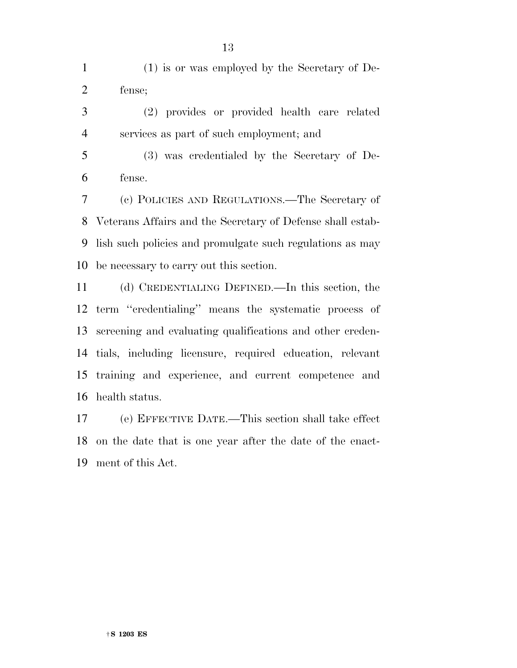(1) is or was employed by the Secretary of De-fense;

- (2) provides or provided health care related services as part of such employment; and
- (3) was credentialed by the Secretary of De-fense.

 (c) POLICIES AND REGULATIONS.—The Secretary of Veterans Affairs and the Secretary of Defense shall estab- lish such policies and promulgate such regulations as may be necessary to carry out this section.

 (d) CREDENTIALING DEFINED.—In this section, the term ''credentialing'' means the systematic process of screening and evaluating qualifications and other creden- tials, including licensure, required education, relevant training and experience, and current competence and health status.

 (e) EFFECTIVE DATE.—This section shall take effect on the date that is one year after the date of the enact-ment of this Act.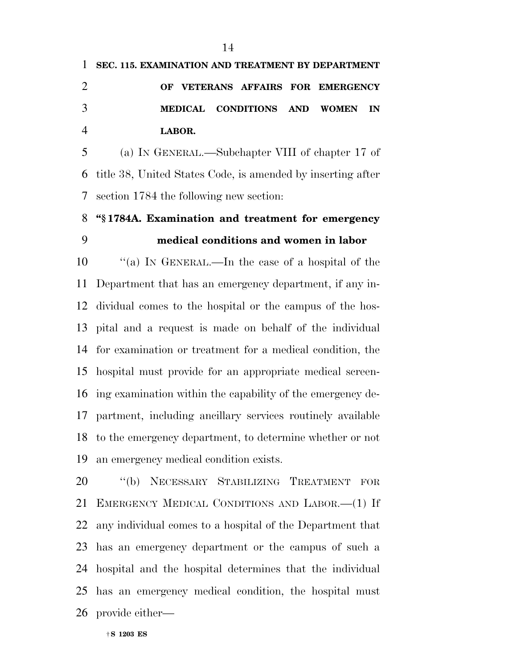|   | 1 SEC. 115. EXAMINATION AND TREATMENT BY DEPARTMENT |        |                                   |  |  |
|---|-----------------------------------------------------|--------|-----------------------------------|--|--|
|   |                                                     |        | OF VETERANS AFFAIRS FOR EMERGENCY |  |  |
| 3 |                                                     |        | MEDICAL CONDITIONS AND WOMEN IN   |  |  |
| 4 |                                                     | LABOR. |                                   |  |  |

 (a) IN GENERAL.—Subchapter VIII of chapter 17 of title 38, United States Code, is amended by inserting after section 1784 the following new section:

## **''§ 1784A. Examination and treatment for emergency medical conditions and women in labor**

 ''(a) IN GENERAL.—In the case of a hospital of the Department that has an emergency department, if any in- dividual comes to the hospital or the campus of the hos- pital and a request is made on behalf of the individual for examination or treatment for a medical condition, the hospital must provide for an appropriate medical screen- ing examination within the capability of the emergency de- partment, including ancillary services routinely available to the emergency department, to determine whether or not an emergency medical condition exists.

 ''(b) NECESSARY STABILIZING TREATMENT FOR EMERGENCY MEDICAL CONDITIONS AND LABOR.—(1) If any individual comes to a hospital of the Department that has an emergency department or the campus of such a hospital and the hospital determines that the individual has an emergency medical condition, the hospital must provide either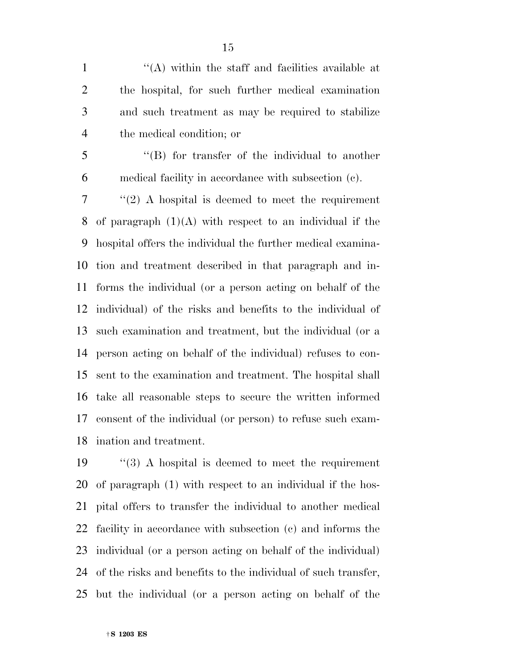''(A) within the staff and facilities available at the hospital, for such further medical examination and such treatment as may be required to stabilize the medical condition; or

- 
- 

 ''(B) for transfer of the individual to another medical facility in accordance with subsection (c).

 ''(2) A hospital is deemed to meet the requirement of paragraph (1)(A) with respect to an individual if the hospital offers the individual the further medical examina- tion and treatment described in that paragraph and in- forms the individual (or a person acting on behalf of the individual) of the risks and benefits to the individual of such examination and treatment, but the individual (or a person acting on behalf of the individual) refuses to con- sent to the examination and treatment. The hospital shall take all reasonable steps to secure the written informed consent of the individual (or person) to refuse such exam-ination and treatment.

 ''(3) A hospital is deemed to meet the requirement of paragraph (1) with respect to an individual if the hos- pital offers to transfer the individual to another medical facility in accordance with subsection (c) and informs the individual (or a person acting on behalf of the individual) of the risks and benefits to the individual of such transfer, but the individual (or a person acting on behalf of the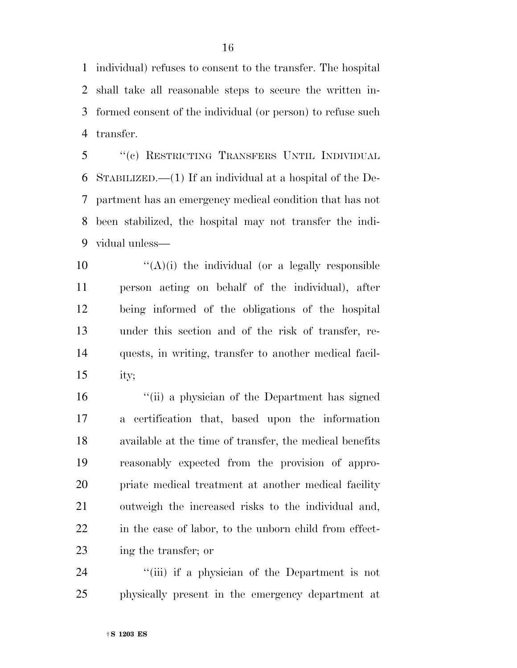individual) refuses to consent to the transfer. The hospital shall take all reasonable steps to secure the written in- formed consent of the individual (or person) to refuse such transfer.

 ''(c) RESTRICTING TRANSFERS UNTIL INDIVIDUAL STABILIZED.—(1) If an individual at a hospital of the De- partment has an emergency medical condition that has not been stabilized, the hospital may not transfer the indi-vidual unless—

 $\langle (A)(i) \rangle$  the individual (or a legally responsible person acting on behalf of the individual), after being informed of the obligations of the hospital under this section and of the risk of transfer, re- quests, in writing, transfer to another medical facil-ity;

 ''(ii) a physician of the Department has signed a certification that, based upon the information available at the time of transfer, the medical benefits reasonably expected from the provision of appro- priate medical treatment at another medical facility outweigh the increased risks to the individual and, in the case of labor, to the unborn child from effect-ing the transfer; or

24 ''(iii) if a physician of the Department is not physically present in the emergency department at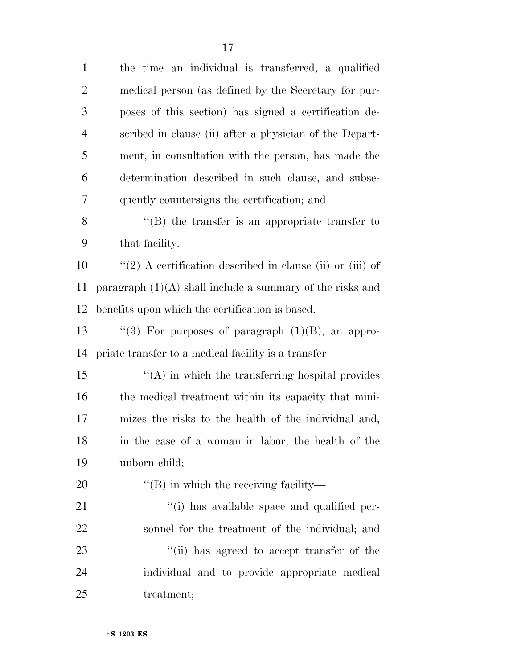the time an individual is transferred, a qualified medical person (as defined by the Secretary for pur- poses of this section) has signed a certification de- scribed in clause (ii) after a physician of the Depart- ment, in consultation with the person, has made the determination described in such clause, and subse- quently countersigns the certification; and ''(B) the transfer is an appropriate transfer to that facility. ''(2) A certification described in clause (ii) or (iii) of 11 paragraph  $(1)(A)$  shall include a summary of the risks and benefits upon which the certification is based.  $\langle$  ''(3) For purposes of paragraph (1)(B), an appro- priate transfer to a medical facility is a transfer— ''(A) in which the transferring hospital provides the medical treatment within its capacity that mini- mizes the risks to the health of the individual and, in the case of a woman in labor, the health of the unborn child;  $\text{``(B)}$  in which the receiving facility—  $\frac{1}{1}$  has available space and qualified per- sonnel for the treatment of the individual; and 23 ''(ii) has agreed to accept transfer of the individual and to provide appropriate medical treatment;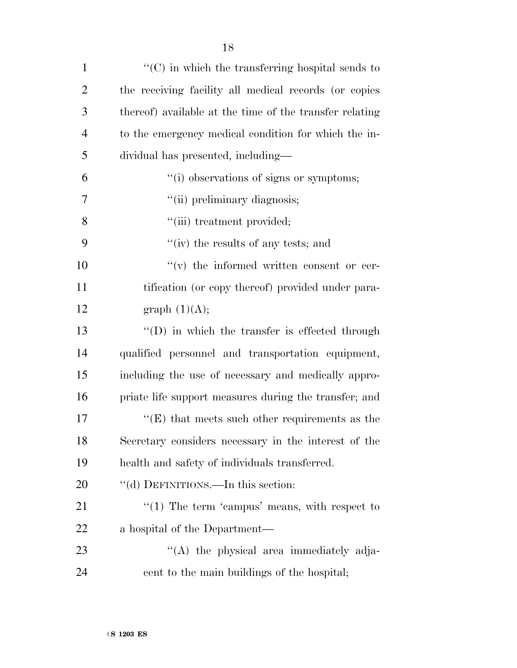| $\mathbf{1}$   | $\lq\lq$ (C) in which the transferring hospital sends to |
|----------------|----------------------------------------------------------|
| $\overline{2}$ | the receiving facility all medical records (or copies    |
| 3              | thereof) available at the time of the transfer relating  |
| $\overline{4}$ | to the emergency medical condition for which the in-     |
| 5              | dividual has presented, including—                       |
| 6              | "(i) observations of signs or symptoms;                  |
| 7              | "(ii) preliminary diagnosis;                             |
| 8              | "(iii) treatment provided;                               |
| 9              | "(iv) the results of any tests; and                      |
| 10             | $f'(v)$ the informed written consent or cer-             |
| 11             | tification (or copy thereof) provided under para-        |
| 12             | graph $(1)(A);$                                          |
| 13             | $\lq\lq$ (D) in which the transfer is effected through   |
| 14             | qualified personnel and transportation equipment,        |
| 15             | including the use of necessary and medically appro-      |
| 16             | priate life support measures during the transfer; and    |
| 17             | $\lq\lq(E)$ that meets such other requirements as the    |
| 18             | Secretary considers necessary in the interest of the     |
| 19             | health and safety of individuals transferred.            |
| 20             | "(d) DEFINITIONS.—In this section:                       |
| 21             | $\lq(1)$ The term 'campus' means, with respect to        |
| 22             | a hospital of the Department—                            |
| 23             | "(A) the physical area immediately adja-                 |
| 24             | cent to the main buildings of the hospital;              |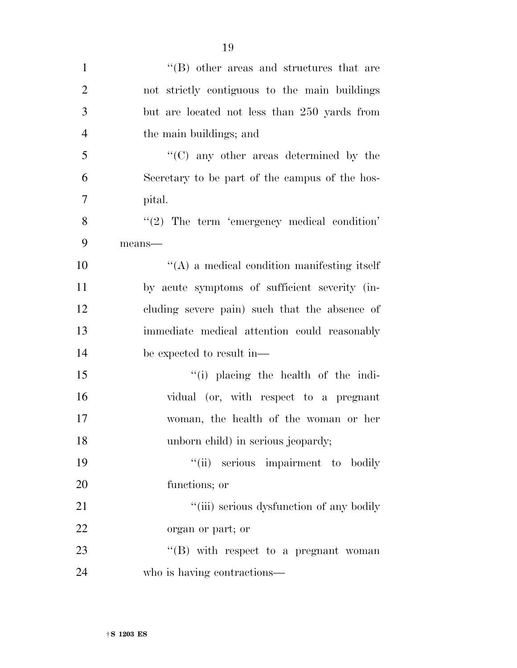| $\mathbf{1}$   | $\cdot$ (B) other areas and structures that are     |
|----------------|-----------------------------------------------------|
| $\overline{2}$ | not strictly contiguous to the main buildings       |
| 3              | but are located not less than 250 yards from        |
| $\overline{4}$ | the main buildings; and                             |
| 5              | "(C) any other areas determined by the              |
| 6              | Secretary to be part of the campus of the hos-      |
| 7              | pital.                                              |
| 8              | $"(2)$ The term 'emergency medical condition'       |
| 9              | $means$ —                                           |
| 10             | $\lq\lq$ (A) a medical condition manifesting itself |
| 11             | by acute symptoms of sufficient severity (in-       |
| 12             | cluding severe pain) such that the absence of       |
| 13             | immediate medical attention could reasonably        |
| 14             | be expected to result in—                           |
| 15             | $\lq\lq$ (i) placing the health of the indi-        |
| 16             | vidual (or, with respect to a pregnant              |
| 17             | woman, the health of the woman or her               |
| 18             | unborn child) in serious jeopardy;                  |
| 19             | "(ii) serious impairment to bodily                  |
| 20             | functions; or                                       |
| 21             | "(iii) serious dysfunction of any bodily            |
| 22             | organ or part; or                                   |
| 23             | " $(B)$ with respect to a pregnant woman            |
| 24             | who is having contractions—                         |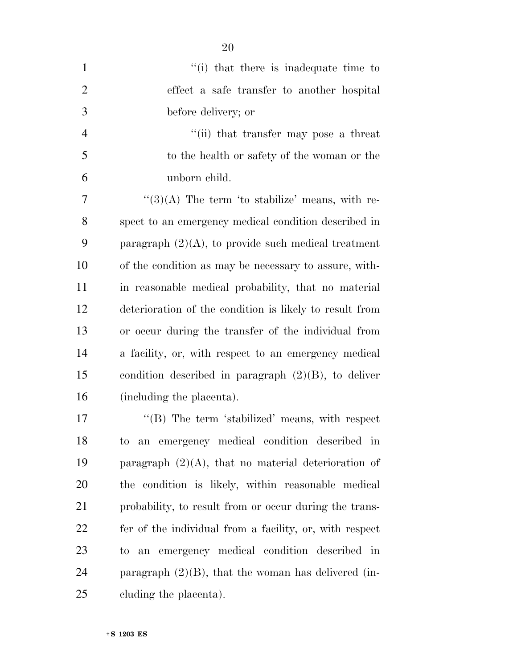| $\mathbf{1}$   | "(i) that there is inadequate time to                   |
|----------------|---------------------------------------------------------|
| $\overline{2}$ | effect a safe transfer to another hospital              |
| 3              | before delivery; or                                     |
| $\overline{4}$ | "(ii) that transfer may pose a threat                   |
| 5              | to the health or safety of the woman or the             |
| 6              | unborn child.                                           |
| 7              | $\lq(3)(A)$ The term 'to stabilize' means, with re-     |
| 8              | spect to an emergency medical condition described in    |
| 9              | paragraph $(2)(A)$ , to provide such medical treatment  |
| 10             | of the condition as may be necessary to assure, with-   |
| 11             | in reasonable medical probability, that no material     |
| 12             | deterioration of the condition is likely to result from |
| 13             | or occur during the transfer of the individual from     |
| 14             | a facility, or, with respect to an emergency medical    |
| 15             | condition described in paragraph $(2)(B)$ , to deliver  |
| 16             | (including the placenta).                               |
| 17             | "(B) The term 'stabilized' means, with respect          |
| 18             | to an emergency medical condition described in          |
| 19             | paragraph $(2)(A)$ , that no material deterioration of  |
| 20             | the condition is likely, within reasonable medical      |
| 21             | probability, to result from or occur during the trans-  |
| 22             | fer of the individual from a facility, or, with respect |
| 23             | emergency medical condition described<br>in<br>to<br>an |
| 24             | paragraph $(2)(B)$ , that the woman has delivered (in-  |
| 25             | cluding the placenta).                                  |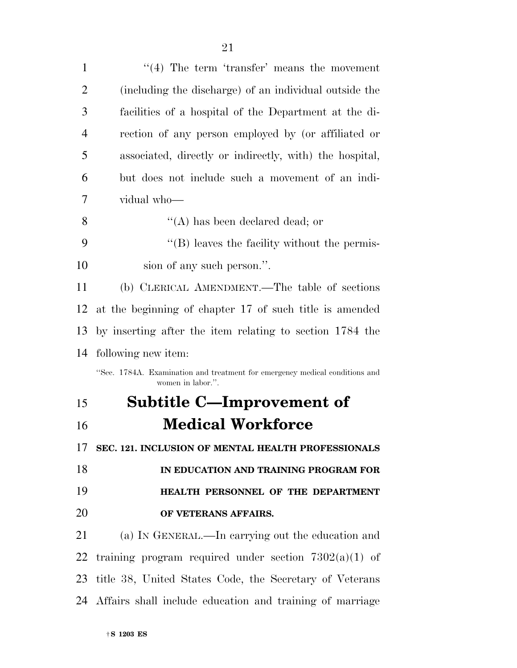| $\mathbf{1}$   | $\lq(4)$ The term 'transfer' means the movement                                                  |
|----------------|--------------------------------------------------------------------------------------------------|
| $\overline{2}$ | (including the discharge) of an individual outside the                                           |
| 3              | facilities of a hospital of the Department at the di-                                            |
| $\overline{4}$ | rection of any person employed by (or affiliated or                                              |
| 5              | associated, directly or indirectly, with the hospital,                                           |
| 6              | but does not include such a movement of an indi-                                                 |
| 7              | vidual who-                                                                                      |
| 8              | $\lq\lq$ has been declared dead; or                                                              |
| 9              | "(B) leaves the facility without the permis-                                                     |
| 10             | sion of any such person.".                                                                       |
| 11             | (b) CLERICAL AMENDMENT.—The table of sections                                                    |
| 12             | at the beginning of chapter 17 of such title is amended                                          |
| 13             | by inserting after the item relating to section 1784 the                                         |
| 14             | following new item:                                                                              |
|                | "Sec. 1784A. Examination and treatment for emergency medical conditions and<br>women in labor.". |
| 15             | <b>Subtitle C-Improvement of</b>                                                                 |
| 16             | <b>Medical Workforce</b>                                                                         |
| 17             | SEC. 121. INCLUSION OF MENTAL HEALTH PROFESSIONALS                                               |
| 18             | IN EDUCATION AND TRAINING PROGRAM FOR                                                            |
| 19             | HEALTH PERSONNEL OF THE DEPARTMENT                                                               |
| 20             | OF VETERANS AFFAIRS.                                                                             |
| 21             | (a) IN GENERAL.—In carrying out the education and                                                |
| 22             | training program required under section $7302(a)(1)$ of                                          |
|                | 23 title 38, United States Code, the Secretary of Veterans                                       |
|                | 24 Affairs shall include education and training of marriage                                      |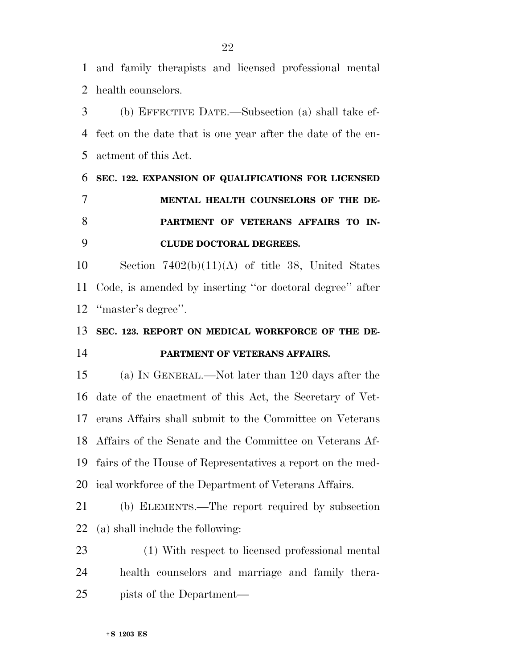and family therapists and licensed professional mental health counselors.

 (b) EFFECTIVE DATE.—Subsection (a) shall take ef- fect on the date that is one year after the date of the en-actment of this Act.

## **SEC. 122. EXPANSION OF QUALIFICATIONS FOR LICENSED MENTAL HEALTH COUNSELORS OF THE DE- PARTMENT OF VETERANS AFFAIRS TO IN-CLUDE DOCTORAL DEGREES.**

 Section 7402(b)(11)(A) of title 38, United States Code, is amended by inserting ''or doctoral degree'' after ''master's degree''.

## **SEC. 123. REPORT ON MEDICAL WORKFORCE OF THE DE-PARTMENT OF VETERANS AFFAIRS.**

 (a) IN GENERAL.—Not later than 120 days after the date of the enactment of this Act, the Secretary of Vet- erans Affairs shall submit to the Committee on Veterans Affairs of the Senate and the Committee on Veterans Af- fairs of the House of Representatives a report on the med-ical workforce of the Department of Veterans Affairs.

 (b) ELEMENTS.—The report required by subsection (a) shall include the following:

 (1) With respect to licensed professional mental health counselors and marriage and family thera-pists of the Department—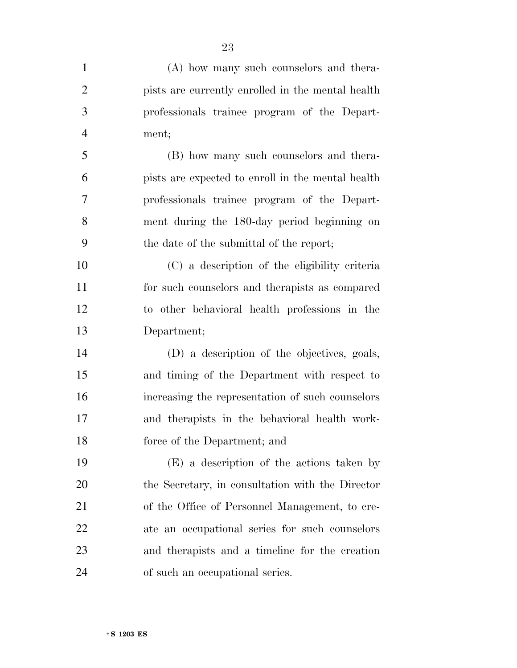| $\mathbf{1}$   | (A) how many such counselors and thera-           |
|----------------|---------------------------------------------------|
| $\overline{2}$ | pists are currently enrolled in the mental health |
| 3              | professionals trainee program of the Depart-      |
| $\overline{4}$ | ment;                                             |
| 5              | (B) how many such counselors and thera-           |
| 6              | pists are expected to enroll in the mental health |
| 7              | professionals trainee program of the Depart-      |
| 8              | ment during the 180-day period beginning on       |
| 9              | the date of the submittal of the report;          |
| 10             | (C) a description of the eligibility criteria     |
| 11             | for such counselors and therapists as compared    |
| 12             | to other behavioral health professions in the     |
| 13             | Department;                                       |
| 14             | (D) a description of the objectives, goals,       |
| 15             | and timing of the Department with respect to      |
| 16             | increasing the representation of such counselors  |
| 17             | and therapists in the behavioral health work-     |
| 18             | force of the Department; and                      |
| 19             | (E) a description of the actions taken by         |
| 20             | the Secretary, in consultation with the Director  |
| 21             | of the Office of Personnel Management, to cre-    |
| 22             | ate an occupational series for such counselors    |
| 23             | and therapists and a timeline for the creation    |
| 24             | of such an occupational series.                   |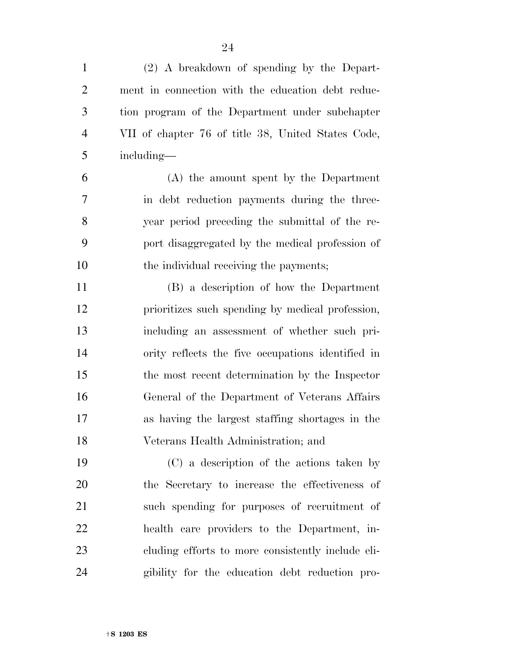(2) A breakdown of spending by the Depart- ment in connection with the education debt reduc- tion program of the Department under subchapter VII of chapter 76 of title 38, United States Code, including— (A) the amount spent by the Department in debt reduction payments during the three- year period preceding the submittal of the re- port disaggregated by the medical profession of 10 the individual receiving the payments; (B) a description of how the Department prioritizes such spending by medical profession, including an assessment of whether such pri- ority reflects the five occupations identified in the most recent determination by the Inspector General of the Department of Veterans Affairs as having the largest staffing shortages in the Veterans Health Administration; and (C) a description of the actions taken by the Secretary to increase the effectiveness of such spending for purposes of recruitment of health care providers to the Department, in-

 cluding efforts to more consistently include eli-gibility for the education debt reduction pro-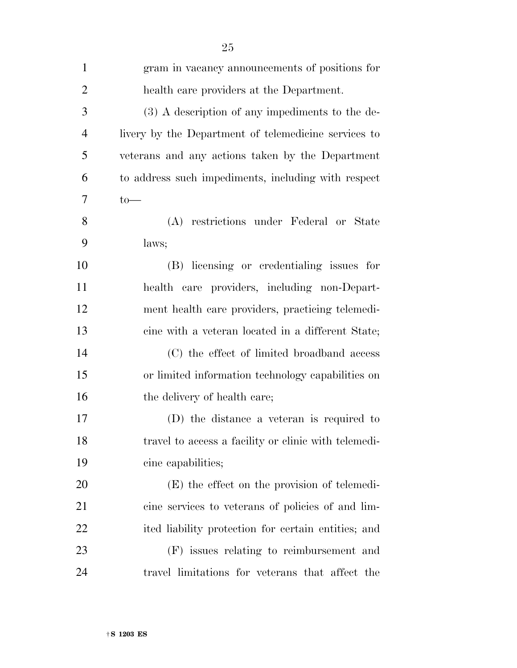| $\mathbf{1}$   | gram in vacancy announcements of positions for       |
|----------------|------------------------------------------------------|
| $\overline{2}$ | health care providers at the Department.             |
| 3              | (3) A description of any impediments to the de-      |
| $\overline{4}$ | livery by the Department of telemedicine services to |
| 5              | veterans and any actions taken by the Department     |
| 6              | to address such impediments, including with respect  |
| 7              | $to-$                                                |
| 8              | (A) restrictions under Federal or State              |
| 9              | laws;                                                |
| 10             | (B) licensing or credentialing issues for            |
| 11             | health care providers, including non-Depart-         |
| 12             | ment health care providers, practicing telemedi-     |
| 13             | cine with a veteran located in a different State;    |
| 14             | (C) the effect of limited broadband access           |
| 15             | or limited information technology capabilities on    |
| 16             | the delivery of health care;                         |
| 17             | (D) the distance a veteran is required to            |
| 18             | travel to access a facility or clinic with telemedi- |
| 19             | cine capabilities;                                   |
| 20             | (E) the effect on the provision of telemedi-         |
| 21             | cine services to veterans of policies of and lim-    |
| 22             | ited liability protection for certain entities; and  |
| 23             | (F) issues relating to reimbursement and             |
| 24             | travel limitations for veterans that affect the      |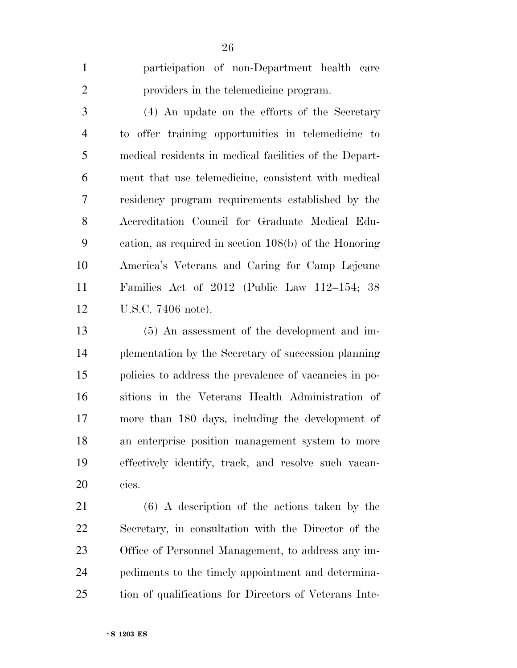participation of non-Department health care providers in the telemedicine program.

 (4) An update on the efforts of the Secretary to offer training opportunities in telemedicine to medical residents in medical facilities of the Depart- ment that use telemedicine, consistent with medical residency program requirements established by the Accreditation Council for Graduate Medical Edu- cation, as required in section 108(b) of the Honoring America's Veterans and Caring for Camp Lejeune Families Act of 2012 (Public Law 112–154; 38 U.S.C. 7406 note).

 (5) An assessment of the development and im- plementation by the Secretary of succession planning policies to address the prevalence of vacancies in po- sitions in the Veterans Health Administration of more than 180 days, including the development of an enterprise position management system to more effectively identify, track, and resolve such vacan-cies.

 (6) A description of the actions taken by the Secretary, in consultation with the Director of the Office of Personnel Management, to address any im- pediments to the timely appointment and determina-tion of qualifications for Directors of Veterans Inte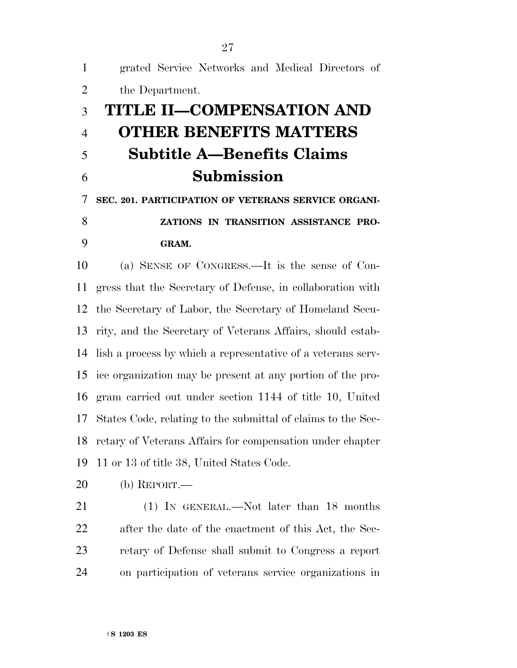grated Service Networks and Medical Directors of the Department. **TITLE II—COMPENSATION AND OTHER BENEFITS MATTERS Subtitle A—Benefits Claims Submission SEC. 201. PARTICIPATION OF VETERANS SERVICE ORGANI- ZATIONS IN TRANSITION ASSISTANCE PRO-GRAM.** 

 (a) SENSE OF CONGRESS.—It is the sense of Con- gress that the Secretary of Defense, in collaboration with the Secretary of Labor, the Secretary of Homeland Secu- rity, and the Secretary of Veterans Affairs, should estab- lish a process by which a representative of a veterans serv- ice organization may be present at any portion of the pro- gram carried out under section 1144 of title 10, United States Code, relating to the submittal of claims to the Sec- retary of Veterans Affairs for compensation under chapter 11 or 13 of title 38, United States Code.

(b) REPORT.—

21 (1) IN GENERAL.—Not later than 18 months after the date of the enactment of this Act, the Sec- retary of Defense shall submit to Congress a report on participation of veterans service organizations in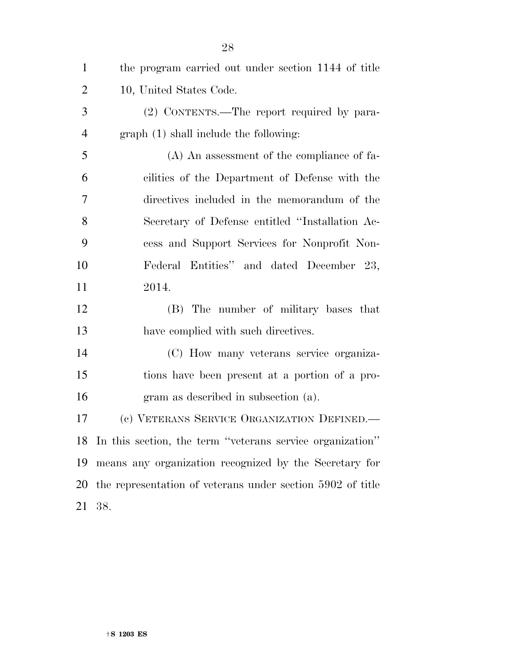| $\mathbf{1}$   | the program carried out under section 1144 of title        |
|----------------|------------------------------------------------------------|
| $\overline{2}$ | 10, United States Code.                                    |
| 3              | (2) CONTENTS.—The report required by para-                 |
| $\overline{4}$ | graph (1) shall include the following:                     |
| 5              | (A) An assessment of the compliance of fa-                 |
| 6              | cilities of the Department of Defense with the             |
| 7              | directives included in the memorandum of the               |
| 8              | Secretary of Defense entitled "Installation Ac-            |
| 9              | cess and Support Services for Nonprofit Non-               |
| 10             | Federal Entities" and dated December 23,                   |
| 11             | 2014.                                                      |
| 12             | (B) The number of military bases that                      |
| 13             | have complied with such directives.                        |
| 14             | (C) How many veterans service organiza-                    |
| 15             | tions have been present at a portion of a pro-             |
| 16             | gram as described in subsection (a).                       |
| 17             | (c) VETERANS SERVICE ORGANIZATION DEFINED.                 |
| 18             | In this section, the term "veterans service organization"  |
| 19             | means any organization recognized by the Secretary for     |
| 20             | the representation of veterans under section 5902 of title |
| 21             | 38.                                                        |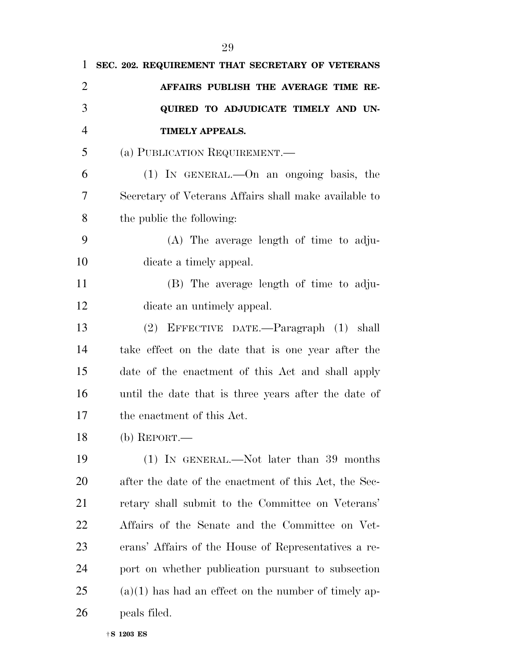| 1              | SEC. 202. REQUIREMENT THAT SECRETARY OF VETERANS       |
|----------------|--------------------------------------------------------|
| $\overline{2}$ | AFFAIRS PUBLISH THE AVERAGE TIME RE-                   |
| 3              | QUIRED TO ADJUDICATE TIMELY AND UN-                    |
| $\overline{4}$ | <b>TIMELY APPEALS.</b>                                 |
| 5              | (a) PUBLICATION REQUIREMENT.—                          |
| 6              | $(1)$ IN GENERAL.—On an ongoing basis, the             |
| 7              | Secretary of Veterans Affairs shall make available to  |
| 8              | the public the following:                              |
| 9              | (A) The average length of time to adju-                |
| 10             | dicate a timely appeal.                                |
| 11             | (B) The average length of time to adju-                |
| 12             | dicate an untimely appeal.                             |
| 13             | (2) EFFECTIVE DATE.-Paragraph (1) shall                |
| 14             | take effect on the date that is one year after the     |
| 15             | date of the enactment of this Act and shall apply      |
| 16             | until the date that is three years after the date of   |
| 17             | the enactment of this Act.                             |
| 18             | $(b)$ REPORT.—                                         |
| 19             | $(1)$ In GENERAL.—Not later than 39 months             |
| 20             | after the date of the enactment of this Act, the Sec-  |
| 21             | retary shall submit to the Committee on Veterans'      |
| 22             | Affairs of the Senate and the Committee on Vet-        |
| 23             | erans' Affairs of the House of Representatives a re-   |
| 24             | port on whether publication pursuant to subsection     |
| 25             | $(a)(1)$ has had an effect on the number of timely ap- |
| 26             | peals filed.                                           |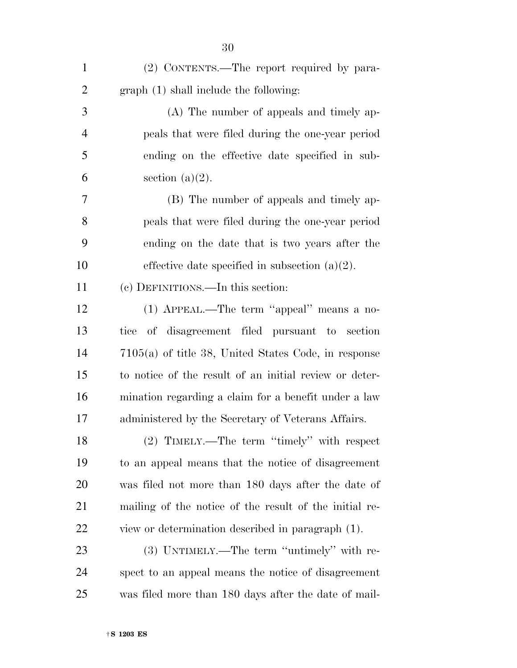| $\mathbf{1}$   | (2) CONTENTS.—The report required by para-             |
|----------------|--------------------------------------------------------|
| $\overline{2}$ | graph (1) shall include the following:                 |
| 3              | (A) The number of appeals and timely ap-               |
| $\overline{4}$ | peals that were filed during the one-year period       |
| 5              | ending on the effective date specified in sub-         |
| 6              | section $(a)(2)$ .                                     |
| 7              | (B) The number of appeals and timely ap-               |
| 8              | peals that were filed during the one-year period       |
| 9              | ending on the date that is two years after the         |
| 10             | effective date specified in subsection $(a)(2)$ .      |
| 11             | (c) DEFINITIONS.—In this section:                      |
| 12             | (1) APPEAL.—The term "appeal" means a no-              |
| 13             | tice of disagreement filed pursuant to section         |
| 14             | $7105(a)$ of title 38, United States Code, in response |
| 15             | to notice of the result of an initial review or deter- |
| 16             | mination regarding a claim for a benefit under a law   |
| 17             | administered by the Secretary of Veterans Affairs.     |
| 18             | (2) TIMELY.—The term "timely" with respect             |
| 19             | to an appeal means that the notice of disagreement     |
| 20             | was filed not more than 180 days after the date of     |
| 21             | mailing of the notice of the result of the initial re- |
| 22             | view or determination described in paragraph (1).      |
| 23             | (3) UNTIMELY.—The term "untimely" with re-             |
| 24             | spect to an appeal means the notice of disagreement    |
| 25             | was filed more than 180 days after the date of mail-   |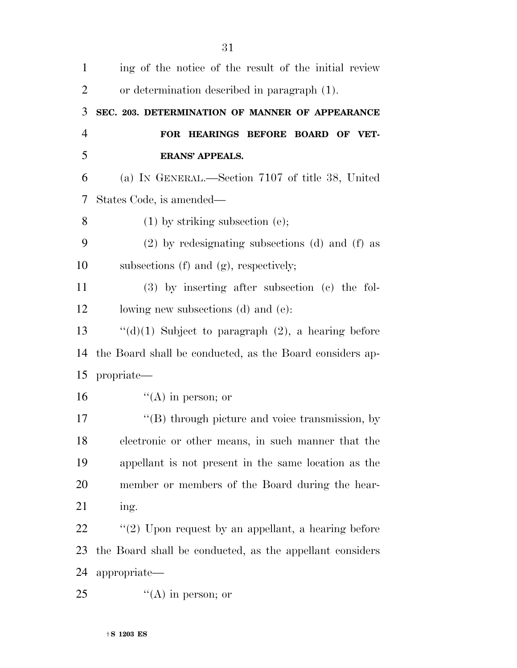| $\mathbf{1}$   | ing of the notice of the result of the initial review    |
|----------------|----------------------------------------------------------|
| $\overline{2}$ | or determination described in paragraph (1).             |
| 3              | SEC. 203. DETERMINATION OF MANNER OF APPEARANCE          |
| $\overline{4}$ | FOR HEARINGS BEFORE BOARD OF VET-                        |
| 5              | <b>ERANS' APPEALS.</b>                                   |
| 6              | (a) IN GENERAL.—Section 7107 of title 38, United         |
| 7              | States Code, is amended—                                 |
| 8              | $(1)$ by striking subsection $(e)$ ;                     |
| 9              | $(2)$ by redesignating subsections $(d)$ and $(f)$ as    |
| 10             | subsections $(f)$ and $(g)$ , respectively;              |
| 11             | (3) by inserting after subsection (c) the fol-           |
| 12             | lowing new subsections (d) and (e):                      |
| 13             | " $(d)(1)$ Subject to paragraph $(2)$ , a hearing before |
| 14             | the Board shall be conducted, as the Board considers ap- |
| 15             | propriate—                                               |
| 16             | $\lq\lq$ (A) in person; or                               |
| 17             | "(B) through picture and voice transmission, by          |
| 18             | electronic or other means, in such manner that the       |
| 19             | appellant is not present in the same location as the     |
| 20             | member or members of the Board during the hear-          |
| 21             | ing.                                                     |
| 22             | $\lq(2)$ Upon request by an appellant, a hearing before  |
| 23             | the Board shall be conducted, as the appellant considers |
| 24             | appropriate—                                             |
| 25             | $\lq\lq$ (A) in person; or                               |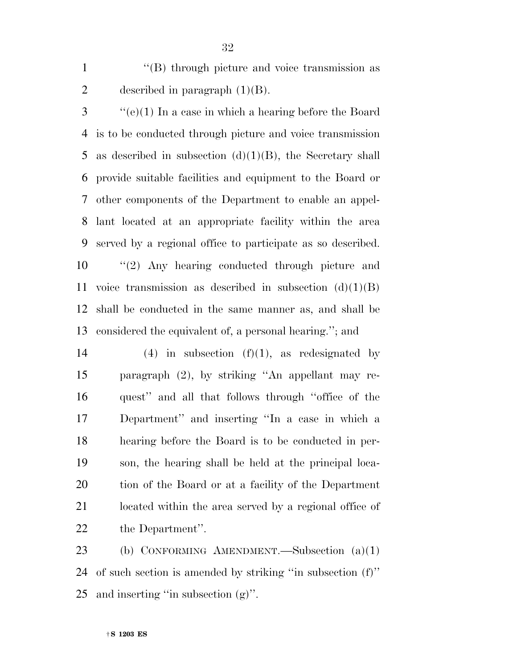1 ''(B) through picture and voice transmission as 2 described in paragraph  $(1)(B)$ .

 ''(e)(1) In a case in which a hearing before the Board is to be conducted through picture and voice transmission 5 as described in subsection  $(d)(1)(B)$ , the Secretary shall provide suitable facilities and equipment to the Board or other components of the Department to enable an appel- lant located at an appropriate facility within the area served by a regional office to participate as so described. ''(2) Any hearing conducted through picture and 11 voice transmission as described in subsection  $(d)(1)(B)$  shall be conducted in the same manner as, and shall be considered the equivalent of, a personal hearing.''; and

14 (4) in subsection  $(f)(1)$ , as redesignated by paragraph (2), by striking ''An appellant may re- quest'' and all that follows through ''office of the Department'' and inserting ''In a case in which a hearing before the Board is to be conducted in per- son, the hearing shall be held at the principal loca- tion of the Board or at a facility of the Department located within the area served by a regional office of the Department''.

 (b) CONFORMING AMENDMENT.—Subsection (a)(1) of such section is amended by striking ''in subsection (f)'' 25 and inserting "in subsection  $(g)$ ".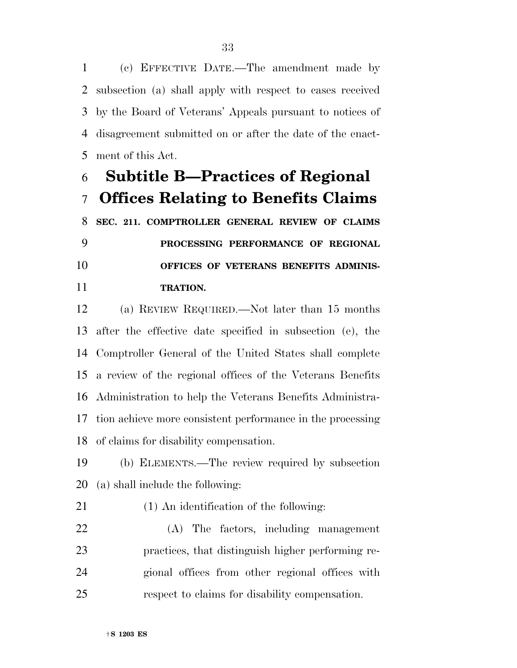(c) EFFECTIVE DATE.—The amendment made by subsection (a) shall apply with respect to cases received by the Board of Veterans' Appeals pursuant to notices of disagreement submitted on or after the date of the enact-ment of this Act.

## **Subtitle B—Practices of Regional Offices Relating to Benefits Claims**

 **SEC. 211. COMPTROLLER GENERAL REVIEW OF CLAIMS PROCESSING PERFORMANCE OF REGIONAL OFFICES OF VETERANS BENEFITS ADMINIS-TRATION.** 

 (a) REVIEW REQUIRED.—Not later than 15 months after the effective date specified in subsection (e), the Comptroller General of the United States shall complete a review of the regional offices of the Veterans Benefits Administration to help the Veterans Benefits Administra- tion achieve more consistent performance in the processing of claims for disability compensation.

 (b) ELEMENTS.—The review required by subsection (a) shall include the following:

(1) An identification of the following:

 (A) The factors, including management practices, that distinguish higher performing re- gional offices from other regional offices with respect to claims for disability compensation.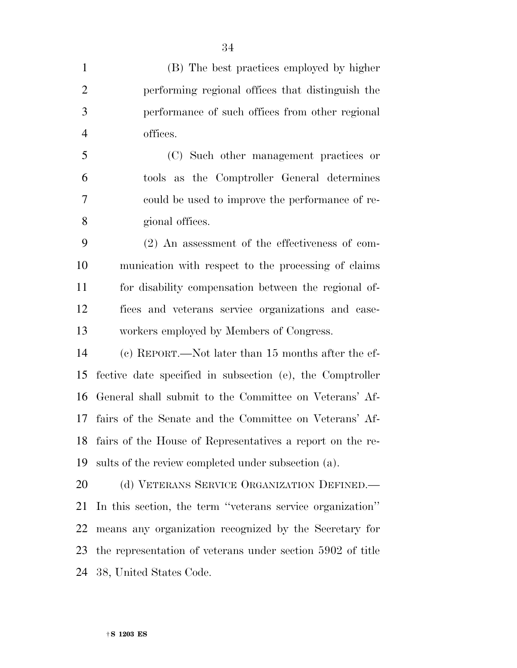| $\mathbf{1}$   | (B) The best practices employed by higher                  |
|----------------|------------------------------------------------------------|
| 2              | performing regional offices that distinguish the           |
| 3              | performance of such offices from other regional            |
| $\overline{4}$ | offices.                                                   |
| 5              | (C) Such other management practices or                     |
| 6              | tools as the Comptroller General determines                |
| 7              | could be used to improve the performance of re-            |
| 8              | gional offices.                                            |
| 9              | $(2)$ An assessment of the effectiveness of com-           |
| 10             | munication with respect to the processing of claims        |
| 11             | for disability compensation between the regional of-       |
| 12             | fices and veterans service organizations and case-         |
| 13             | workers employed by Members of Congress.                   |
| 14             | (c) REPORT.—Not later than 15 months after the ef-         |
| 15             | fective date specified in subsection (e), the Comptroller  |
| 16             | General shall submit to the Committee on Veterans' Af-     |
| 17             | fairs of the Senate and the Committee on Veterans' Af-     |
| 18             | fairs of the House of Representatives a report on the re-  |
| 19             | sults of the review completed under subsection (a).        |
| 20             | (d) VETERANS SERVICE ORGANIZATION DEFINED.                 |
| 21             | In this section, the term "veterans service organization"  |
| 22             | means any organization recognized by the Secretary for     |
| 23             | the representation of veterans under section 5902 of title |
| 24             | 38, United States Code.                                    |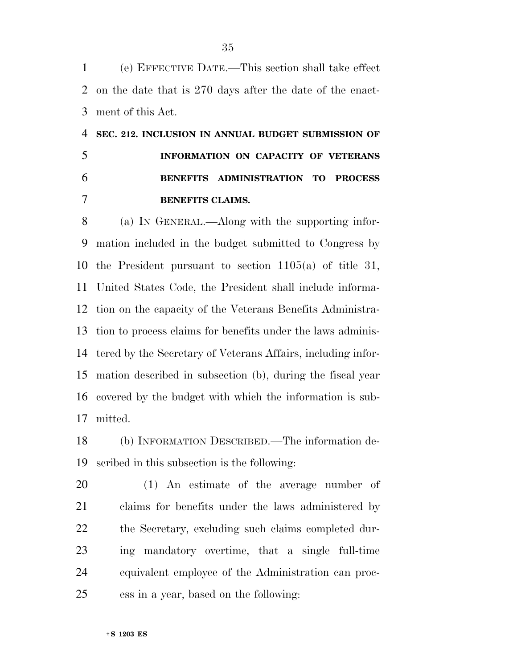(e) EFFECTIVE DATE.—This section shall take effect on the date that is 270 days after the date of the enact-ment of this Act.

## **SEC. 212. INCLUSION IN ANNUAL BUDGET SUBMISSION OF INFORMATION ON CAPACITY OF VETERANS BENEFITS ADMINISTRATION TO PROCESS BENEFITS CLAIMS.**

 (a) IN GENERAL.—Along with the supporting infor- mation included in the budget submitted to Congress by the President pursuant to section 1105(a) of title 31, United States Code, the President shall include informa- tion on the capacity of the Veterans Benefits Administra- tion to process claims for benefits under the laws adminis- tered by the Secretary of Veterans Affairs, including infor- mation described in subsection (b), during the fiscal year covered by the budget with which the information is sub-mitted.

 (b) INFORMATION DESCRIBED.—The information de-scribed in this subsection is the following:

 (1) An estimate of the average number of claims for benefits under the laws administered by the Secretary, excluding such claims completed dur- ing mandatory overtime, that a single full-time equivalent employee of the Administration can proc-ess in a year, based on the following: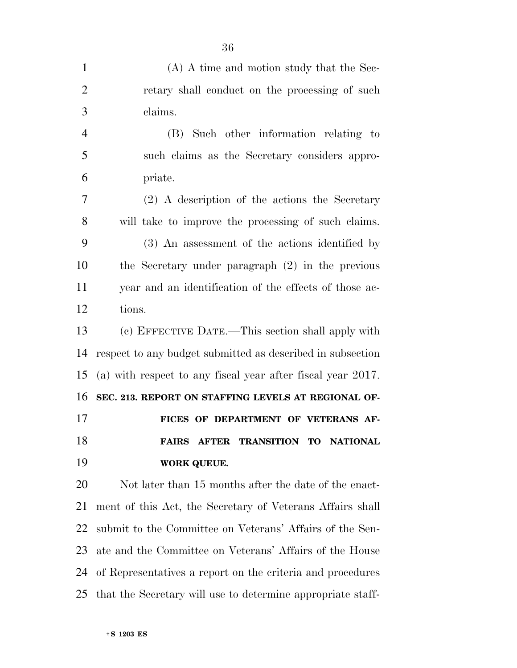| $\mathbf{1}$   | (A) A time and motion study that the Sec-                               |
|----------------|-------------------------------------------------------------------------|
| $\overline{2}$ | retary shall conduct on the processing of such                          |
| 3              | claims.                                                                 |
| $\overline{4}$ | (B) Such other information relating to                                  |
| 5              | such claims as the Secretary considers appro-                           |
| 6              | priate.                                                                 |
| 7              | $(2)$ A description of the actions the Secretary                        |
| 8              | will take to improve the processing of such claims.                     |
| 9              | (3) An assessment of the actions identified by                          |
| 10             | the Secretary under paragraph $(2)$ in the previous                     |
| 11             | year and an identification of the effects of those ac-                  |
| 12             | tions.                                                                  |
| 13             | (c) EFFECTIVE DATE.—This section shall apply with                       |
| 14             | respect to any budget submitted as described in subsection              |
| 15             | (a) with respect to any fiscal year after fiscal year 2017.             |
| 16             | SEC. 213. REPORT ON STAFFING LEVELS AT REGIONAL OF-                     |
| 17             | FICES OF DEPARTMENT OF VETERANS AF-                                     |
| 18             | <b>TRANSITION TO</b><br><b>NATIONAL</b><br><b>FAIRS</b><br><b>AFTER</b> |
| 19             | WORK QUEUE.                                                             |
| 20             | Not later than 15 months after the date of the enact-                   |
| 21             | ment of this Act, the Secretary of Veterans Affairs shall               |
| 22             | submit to the Committee on Veterans' Affairs of the Sen-                |
| 23             | ate and the Committee on Veterans' Affairs of the House                 |
| 24             | of Representatives a report on the criteria and procedures              |
| 25             | that the Secretary will use to determine appropriate staff-             |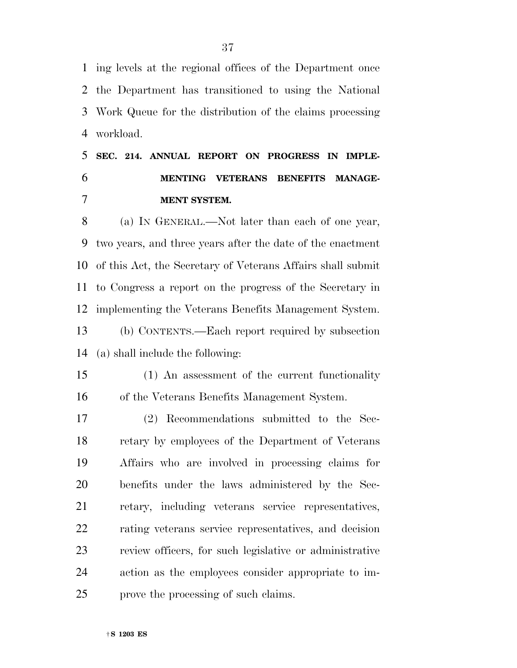ing levels at the regional offices of the Department once the Department has transitioned to using the National Work Queue for the distribution of the claims processing workload.

 **SEC. 214. ANNUAL REPORT ON PROGRESS IN IMPLE- MENTING VETERANS BENEFITS MANAGE-MENT SYSTEM.** 

 (a) IN GENERAL.—Not later than each of one year, two years, and three years after the date of the enactment of this Act, the Secretary of Veterans Affairs shall submit to Congress a report on the progress of the Secretary in implementing the Veterans Benefits Management System. (b) CONTENTS.—Each report required by subsection

(a) shall include the following:

 (1) An assessment of the current functionality of the Veterans Benefits Management System.

 (2) Recommendations submitted to the Sec- retary by employees of the Department of Veterans Affairs who are involved in processing claims for benefits under the laws administered by the Sec- retary, including veterans service representatives, rating veterans service representatives, and decision review officers, for such legislative or administrative action as the employees consider appropriate to im-prove the processing of such claims.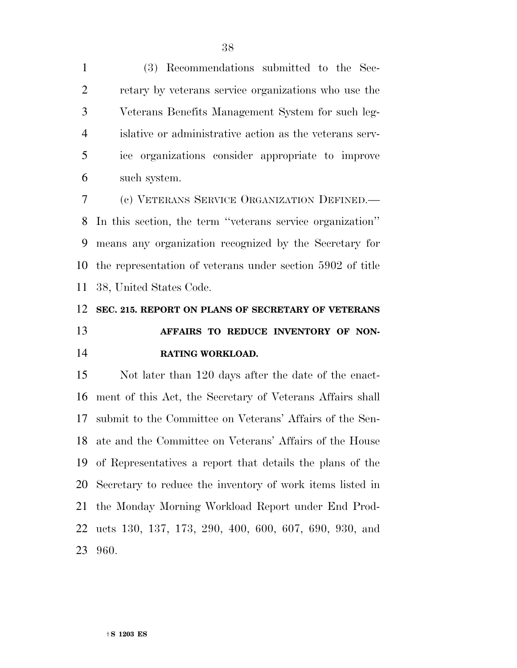(3) Recommendations submitted to the Sec- retary by veterans service organizations who use the Veterans Benefits Management System for such leg- islative or administrative action as the veterans serv- ice organizations consider appropriate to improve such system.

 (c) VETERANS SERVICE ORGANIZATION DEFINED.— In this section, the term ''veterans service organization'' means any organization recognized by the Secretary for the representation of veterans under section 5902 of title 38, United States Code.

## **SEC. 215. REPORT ON PLANS OF SECRETARY OF VETERANS AFFAIRS TO REDUCE INVENTORY OF NON-RATING WORKLOAD.**

 Not later than 120 days after the date of the enact- ment of this Act, the Secretary of Veterans Affairs shall submit to the Committee on Veterans' Affairs of the Sen- ate and the Committee on Veterans' Affairs of the House of Representatives a report that details the plans of the Secretary to reduce the inventory of work items listed in the Monday Morning Workload Report under End Prod- ucts 130, 137, 173, 290, 400, 600, 607, 690, 930, and 960.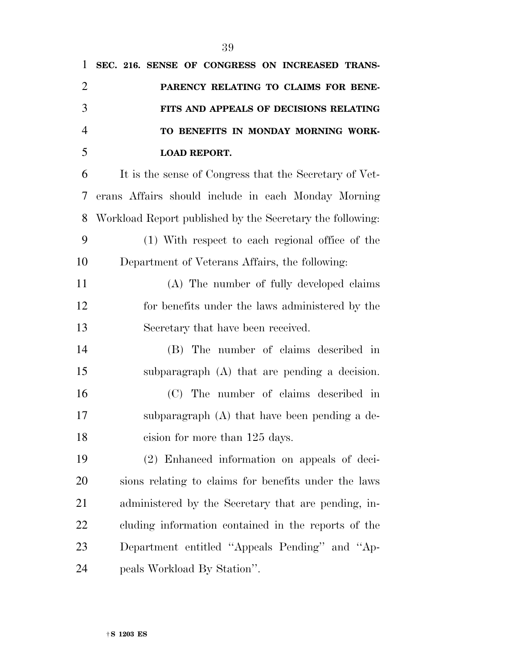| $\mathbf{1}$   | SEC. 216. SENSE OF CONGRESS ON INCREASED TRANS-           |
|----------------|-----------------------------------------------------------|
| $\overline{2}$ | PARENCY RELATING TO CLAIMS FOR BENE-                      |
| 3              | FITS AND APPEALS OF DECISIONS RELATING                    |
| $\overline{4}$ | TO BENEFITS IN MONDAY MORNING WORK-                       |
| 5              | <b>LOAD REPORT.</b>                                       |
| 6              | It is the sense of Congress that the Secretary of Vet-    |
| 7              | erans Affairs should include in each Monday Morning       |
| 8              | Workload Report published by the Secretary the following: |
| 9              | (1) With respect to each regional office of the           |
| 10             | Department of Veterans Affairs, the following:            |
| 11             | (A) The number of fully developed claims                  |
| 12             | for benefits under the laws administered by the           |
| 13             | Secretary that have been received.                        |
| 14             | (B) The number of claims described in                     |
| 15             | subparagraph (A) that are pending a decision.             |
| 16             | (C) The number of claims described in                     |
| 17             | subparagraph $(A)$ that have been pending a de-           |
| 18             | cision for more than 125 days.                            |
| 19             | (2) Enhanced information on appeals of deci-              |
| <b>20</b>      | sions relating to claims for benefits under the laws      |
| 21             | administered by the Secretary that are pending, in-       |
| 22             | cluding information contained in the reports of the       |
| 23             | Department entitled "Appeals Pending" and "Ap-            |
|                |                                                           |

peals Workload By Station''.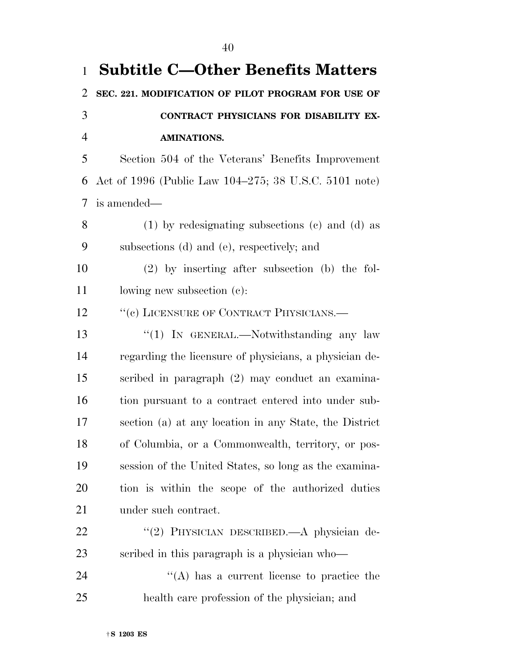| $\mathbf{1}$   | <b>Subtitle C-Other Benefits Matters</b>               |
|----------------|--------------------------------------------------------|
| $\overline{2}$ | SEC. 221. MODIFICATION OF PILOT PROGRAM FOR USE OF     |
| 3              | CONTRACT PHYSICIANS FOR DISABILITY EX-                 |
| $\overline{4}$ | <b>AMINATIONS.</b>                                     |
| 5              | Section 504 of the Veterans' Benefits Improvement      |
| 6              | Act of 1996 (Public Law 104–275; 38 U.S.C. 5101 note)  |
| 7              | is amended—                                            |
| 8              | $(1)$ by redesignating subsections $(e)$ and $(d)$ as  |
| 9              | subsections (d) and (e), respectively; and             |
| 10             | $(2)$ by inserting after subsection (b) the fol-       |
| 11             | lowing new subsection $(c)$ :                          |
| 12             | "(c) LICENSURE OF CONTRACT PHYSICIANS.—                |
| 13             | "(1) IN GENERAL.—Notwithstanding any law               |
| 14             | regarding the licensure of physicians, a physician de- |
| 15             | scribed in paragraph (2) may conduct an examina-       |
| 16             | tion pursuant to a contract entered into under sub-    |
| 17             | section (a) at any location in any State, the District |
| 18             | of Columbia, or a Commonwealth, territory, or pos-     |
| 19             | session of the United States, so long as the examina-  |
| 20             | tion is within the scope of the authorized duties      |
| 21             | under such contract.                                   |
| 22             | "(2) PHYSICIAN DESCRIBED.—A physician de-              |
| 23             | scribed in this paragraph is a physician who-          |
| 24             | $\lq\lq$ has a current license to practice the         |
| 25             | health care profession of the physician; and           |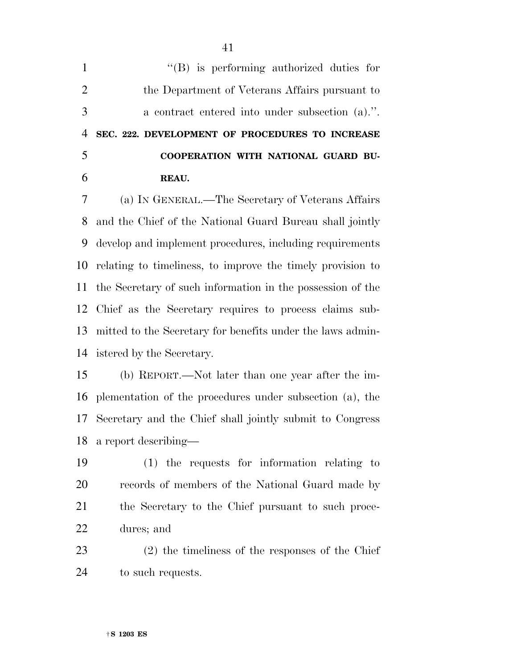| $\mathbf{1}$   | $\lq\lq$ (B) is performing authorized duties for           |
|----------------|------------------------------------------------------------|
| $\overline{2}$ | the Department of Veterans Affairs pursuant to             |
| 3              | a contract entered into under subsection (a).".            |
| $\overline{4}$ | SEC. 222. DEVELOPMENT OF PROCEDURES TO INCREASE            |
| 5              | COOPERATION WITH NATIONAL GUARD BU-                        |
| 6              | REAU.                                                      |
| 7              | (a) IN GENERAL.—The Secretary of Veterans Affairs          |
| 8              | and the Chief of the National Guard Bureau shall jointly   |
| 9              | develop and implement procedures, including requirements   |
| 10             | relating to timeliness, to improve the timely provision to |
| 11             | the Secretary of such information in the possession of the |
| 12             | Chief as the Secretary requires to process claims sub-     |
| 13             | mitted to the Secretary for benefits under the laws admin- |
| 14             | istered by the Secretary.                                  |
| 15             | (b) REPORT.—Not later than one year after the im-          |
| 16             | plementation of the procedures under subsection (a), the   |
| 17             | Secretary and the Chief shall jointly submit to Congress   |
| 18             | a report describing—                                       |
| 19             | $(1)$ the requests for information relating to             |
| 20             | records of members of the National Guard made by           |
| 21             | the Secretary to the Chief pursuant to such proce-         |
| 22             | dures; and                                                 |
| 23             | $(2)$ the timeliness of the responses of the Chief         |
| 24             | to such requests.                                          |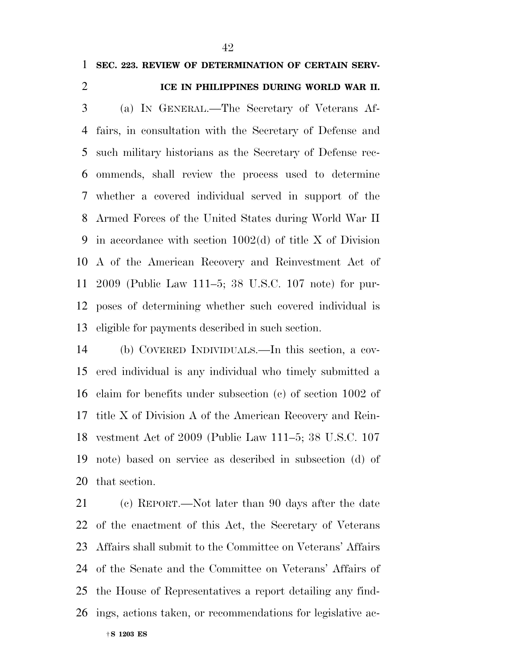## **SEC. 223. REVIEW OF DETERMINATION OF CERTAIN SERV-**

## **ICE IN PHILIPPINES DURING WORLD WAR II.**

 (a) IN GENERAL.—The Secretary of Veterans Af- fairs, in consultation with the Secretary of Defense and such military historians as the Secretary of Defense rec- ommends, shall review the process used to determine whether a covered individual served in support of the Armed Forces of the United States during World War II in accordance with section 1002(d) of title X of Division A of the American Recovery and Reinvestment Act of 2009 (Public Law 111–5; 38 U.S.C. 107 note) for pur- poses of determining whether such covered individual is eligible for payments described in such section.

 (b) COVERED INDIVIDUALS.—In this section, a cov- ered individual is any individual who timely submitted a claim for benefits under subsection (c) of section 1002 of title X of Division A of the American Recovery and Rein- vestment Act of 2009 (Public Law 111–5; 38 U.S.C. 107 note) based on service as described in subsection (d) of that section.

 (c) REPORT.—Not later than 90 days after the date of the enactment of this Act, the Secretary of Veterans Affairs shall submit to the Committee on Veterans' Affairs of the Senate and the Committee on Veterans' Affairs of the House of Representatives a report detailing any find-ings, actions taken, or recommendations for legislative ac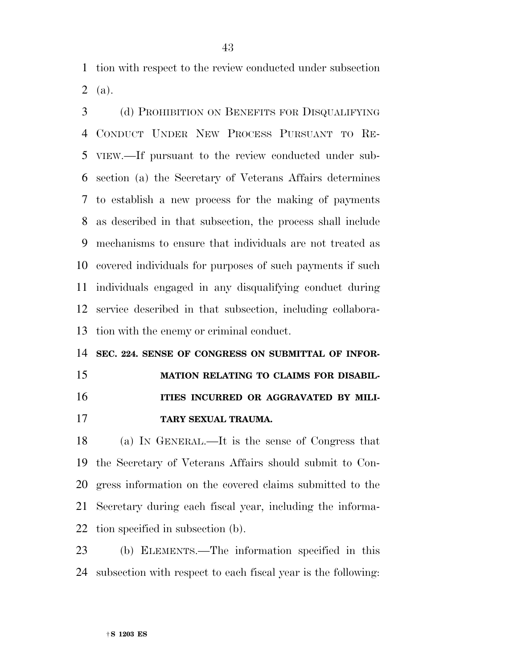tion with respect to the review conducted under subsection (a).

 (d) PROHIBITION ON BENEFITS FOR DISQUALIFYING CONDUCT UNDER NEW PROCESS PURSUANT TO RE- VIEW.—If pursuant to the review conducted under sub- section (a) the Secretary of Veterans Affairs determines to establish a new process for the making of payments as described in that subsection, the process shall include mechanisms to ensure that individuals are not treated as covered individuals for purposes of such payments if such individuals engaged in any disqualifying conduct during service described in that subsection, including collabora-tion with the enemy or criminal conduct.

 **SEC. 224. SENSE OF CONGRESS ON SUBMITTAL OF INFOR- MATION RELATING TO CLAIMS FOR DISABIL- ITIES INCURRED OR AGGRAVATED BY MILI-TARY SEXUAL TRAUMA.** 

 (a) IN GENERAL.—It is the sense of Congress that the Secretary of Veterans Affairs should submit to Con- gress information on the covered claims submitted to the Secretary during each fiscal year, including the informa-tion specified in subsection (b).

 (b) ELEMENTS.—The information specified in this subsection with respect to each fiscal year is the following: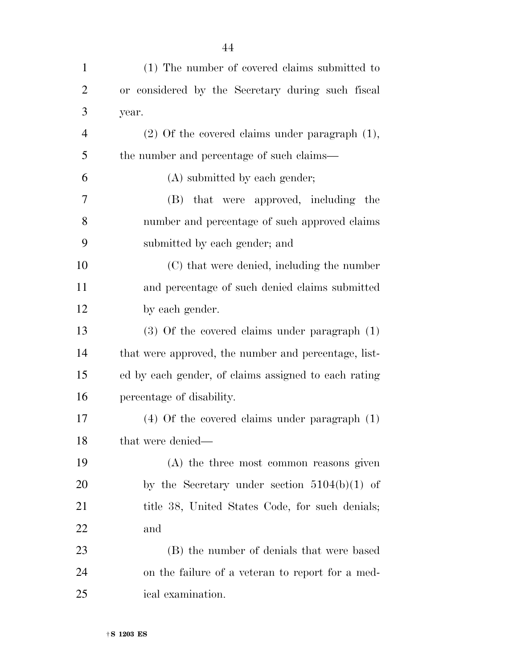| $\mathbf{1}$   | (1) The number of covered claims submitted to        |
|----------------|------------------------------------------------------|
| $\overline{2}$ | or considered by the Secretary during such fiscal    |
| 3              | year.                                                |
| $\overline{4}$ | $(2)$ Of the covered claims under paragraph $(1)$ ,  |
| 5              | the number and percentage of such claims—            |
| 6              | (A) submitted by each gender;                        |
| 7              | that were approved, including the<br>(B)             |
| 8              | number and percentage of such approved claims        |
| 9              | submitted by each gender; and                        |
| 10             | (C) that were denied, including the number           |
| 11             | and percentage of such denied claims submitted       |
| 12             | by each gender.                                      |
| 13             | $(3)$ Of the covered claims under paragraph $(1)$    |
| 14             | that were approved, the number and percentage, list- |
| 15             | ed by each gender, of claims assigned to each rating |
| 16             | percentage of disability.                            |
| 17             | $(4)$ Of the covered claims under paragraph $(1)$    |
| 18             | that were denied—                                    |
| 19             | (A) the three most common reasons given              |
| 20             | by the Secretary under section $5104(b)(1)$ of       |
| 21             | title 38, United States Code, for such denials;      |
| 22             | and                                                  |
| 23             | (B) the number of denials that were based            |
| 24             | on the failure of a veteran to report for a med-     |
| 25             | ical examination.                                    |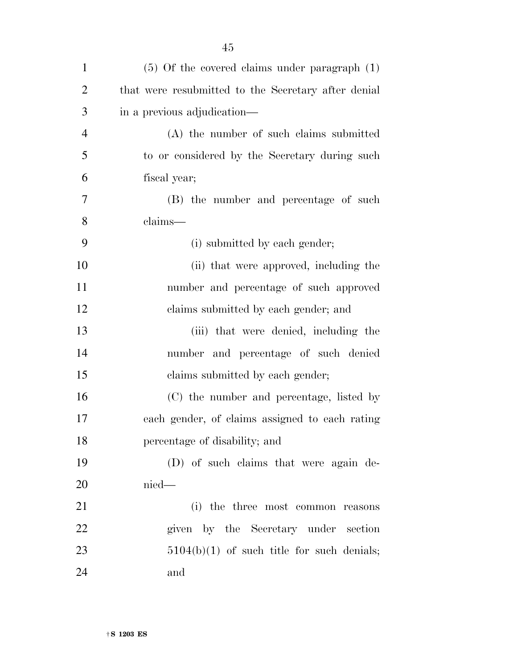| $\mathbf{1}$   | $(5)$ Of the covered claims under paragraph $(1)$   |
|----------------|-----------------------------------------------------|
| $\overline{2}$ | that were resubmitted to the Secretary after denial |
| 3              | in a previous adjudication—                         |
| $\overline{4}$ | (A) the number of such claims submitted             |
| 5              | to or considered by the Secretary during such       |
| 6              | fiscal year;                                        |
| $\overline{7}$ | (B) the number and percentage of such               |
| 8              | claims—                                             |
| 9              | (i) submitted by each gender;                       |
| 10             | (ii) that were approved, including the              |
| 11             | number and percentage of such approved              |
| 12             | claims submitted by each gender; and                |
| 13             | (iii) that were denied, including the               |
| 14             | number and percentage of such denied                |
| 15             | claims submitted by each gender;                    |
| 16             | (C) the number and percentage, listed by            |
| 17             | each gender, of claims assigned to each rating      |
| 18             | percentage of disability; and                       |
| 19             | (D) of such claims that were again de-              |
| 20             | $nied$ —                                            |
| 21             | (i) the three most common reasons                   |
| 22             | given by the Secretary under section                |
| 23             | $5104(b)(1)$ of such title for such denials;        |
| 24             | and                                                 |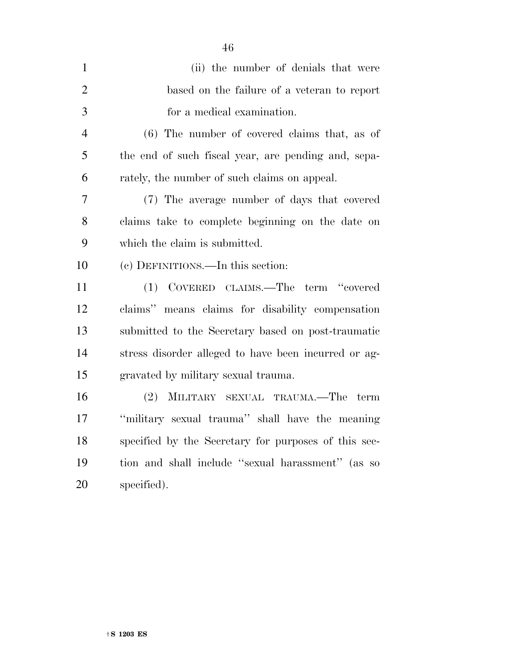| $\mathbf{1}$   | (ii) the number of denials that were                 |
|----------------|------------------------------------------------------|
| $\overline{2}$ | based on the failure of a veteran to report          |
| 3              | for a medical examination.                           |
| $\overline{4}$ | $(6)$ The number of covered claims that, as of       |
| 5              | the end of such fiscal year, are pending and, sepa-  |
| 6              | rately, the number of such claims on appeal.         |
| 7              | (7) The average number of days that covered          |
| 8              | claims take to complete beginning on the date on     |
| 9              | which the claim is submitted.                        |
| 10             | (c) DEFINITIONS.—In this section:                    |
| 11             | (1) COVERED CLAIMS.—The term "covered                |
| 12             | claims" means claims for disability compensation     |
| 13             | submitted to the Secretary based on post-traumatic   |
| 14             | stress disorder alleged to have been incurred or ag- |
| 15             | gravated by military sexual trauma.                  |
| 16             | (2) MILITARY SEXUAL TRAUMA.—The term                 |
| 17             | "military sexual trauma" shall have the meaning      |
| 18             | specified by the Secretary for purposes of this sec- |
| 19             | tion and shall include "sexual harassment" (as so    |
| 20             | specified).                                          |
|                |                                                      |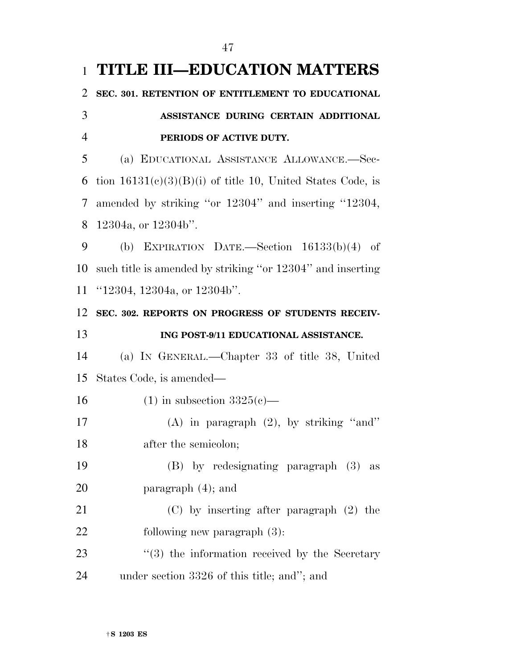|                | 1 TITLE III-EDUCATION MATTERS                                |
|----------------|--------------------------------------------------------------|
| 2              | SEC. 301. RETENTION OF ENTITLEMENT TO EDUCATIONAL            |
| 3              | ASSISTANCE DURING CERTAIN ADDITIONAL                         |
| $\overline{4}$ | PERIODS OF ACTIVE DUTY.                                      |
| 5              | (a) EDUCATIONAL ASSISTANCE ALLOWANCE.-Sec-                   |
| 6              | tion $16131(c)(3)(B)(i)$ of title 10, United States Code, is |
| 7              | amended by striking "or 12304" and inserting "12304,         |
| 8              | $12304a$ , or $12304b$ ".                                    |
| 9              | (b) EXPIRATION DATE.—Section $16133(b)(4)$ of                |
| 10             | such title is amended by striking "or 12304" and inserting   |
| 11             | " $12304$ , $12304a$ , or $12304b$ ".                        |
| 12             | SEC. 302. REPORTS ON PROGRESS OF STUDENTS RECEIV-            |
|                |                                                              |
|                | ING POST-9/11 EDUCATIONAL ASSISTANCE.                        |
| 13<br>14       | (a) IN GENERAL.—Chapter 33 of title 38, United               |
| 15             | States Code, is amended—                                     |
| 16             | $(1)$ in subsection $3325(e)$ —                              |
| 17             | (A) in paragraph $(2)$ , by striking "and"                   |
| 18             | after the semicolon;                                         |
| 19             | (B) by redesignating paragraph (3) as                        |
| 20             | paragraph $(4)$ ; and                                        |
| 21             | $(C)$ by inserting after paragraph $(2)$ the                 |
| 22             | following new paragraph $(3)$ :                              |
| 23             | $(3)$ the information received by the Secretary              |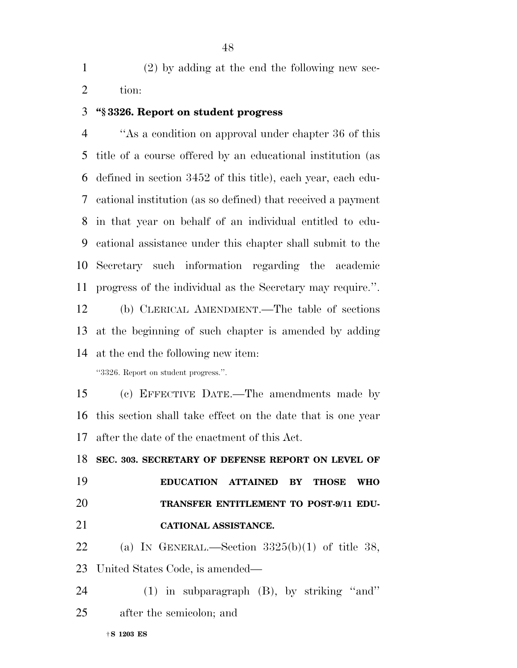(2) by adding at the end the following new sec-tion:

## **''§ 3326. Report on student progress**

 ''As a condition on approval under chapter 36 of this title of a course offered by an educational institution (as defined in section 3452 of this title), each year, each edu- cational institution (as so defined) that received a payment in that year on behalf of an individual entitled to edu- cational assistance under this chapter shall submit to the Secretary such information regarding the academic progress of the individual as the Secretary may require.''.

 (b) CLERICAL AMENDMENT.—The table of sections at the beginning of such chapter is amended by adding at the end the following new item:

''3326. Report on student progress.''.

 (c) EFFECTIVE DATE.—The amendments made by this section shall take effect on the date that is one year after the date of the enactment of this Act.

 **SEC. 303. SECRETARY OF DEFENSE REPORT ON LEVEL OF EDUCATION ATTAINED BY THOSE WHO TRANSFER ENTITLEMENT TO POST-9/11 EDU-CATIONAL ASSISTANCE.** 

22 (a) In GENERAL.—Section  $3325(b)(1)$  of title 38, United States Code, is amended—

 (1) in subparagraph (B), by striking ''and'' after the semicolon; and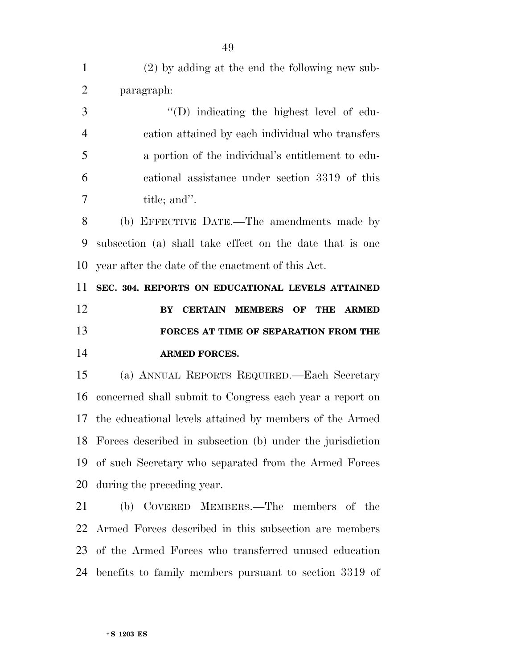| $\mathbf{1}$   | (2) by adding at the end the following new sub-                                          |
|----------------|------------------------------------------------------------------------------------------|
| $\overline{2}$ | paragraph:                                                                               |
| 3              | $\lq\lq$ . Indicating the highest level of edu-                                          |
| $\overline{4}$ | cation attained by each individual who transfers                                         |
| 5              | a portion of the individual's entitlement to edu-                                        |
| 6              | cational assistance under section 3319 of this                                           |
| 7              | title; and".                                                                             |
| 8              | (b) EFFECTIVE DATE.—The amendments made by                                               |
| 9              | subsection (a) shall take effect on the date that is one                                 |
| 10             | year after the date of the enactment of this Act.                                        |
|                | SEC. 304. REPORTS ON EDUCATIONAL LEVELS ATTAINED                                         |
| 11             |                                                                                          |
|                | <b>CERTAIN</b><br><b>MEMBERS</b><br>OF<br><b>THE</b><br><b>ARMED</b><br>${\bf B}{\bf Y}$ |
| 12<br>13       | FORCES AT TIME OF SEPARATION FROM THE                                                    |
| 14             | <b>ARMED FORCES.</b>                                                                     |
| 15             | (a) ANNUAL REPORTS REQUIRED. Each Secretary                                              |
|                | concerned shall submit to Congress each year a report on                                 |
| 16             | 17 the educational levels attained by members of the Armed                               |
|                | 18 Forces described in subsection (b) under the jurisdiction                             |
| 19             | of such Secretary who separated from the Armed Forces                                    |
| 20             | during the preceding year.                                                               |
| 21             | (b) COVERED MEMBERS.—The members of the                                                  |
| 22             | Armed Forces described in this subsection are members                                    |

benefits to family members pursuant to section 3319 of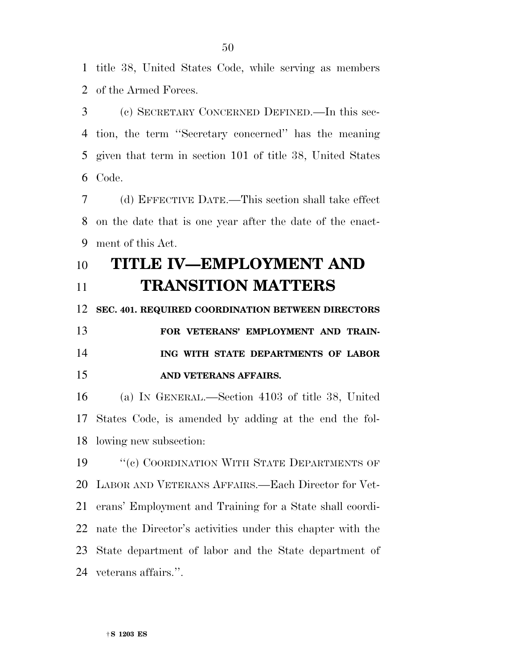title 38, United States Code, while serving as members of the Armed Forces.

 (c) SECRETARY CONCERNED DEFINED.—In this sec- tion, the term ''Secretary concerned'' has the meaning given that term in section 101 of title 38, United States Code.

 (d) EFFECTIVE DATE.—This section shall take effect on the date that is one year after the date of the enact-ment of this Act.

## **TITLE IV—EMPLOYMENT AND**

**TRANSITION MATTERS** 

 **SEC. 401. REQUIRED COORDINATION BETWEEN DIRECTORS FOR VETERANS' EMPLOYMENT AND TRAIN-**

 **ING WITH STATE DEPARTMENTS OF LABOR AND VETERANS AFFAIRS.** 

 (a) IN GENERAL.—Section 4103 of title 38, United States Code, is amended by adding at the end the fol-lowing new subsection:

19 "(c) COORDINATION WITH STATE DEPARTMENTS OF LABOR AND VETERANS AFFAIRS.—Each Director for Vet- erans' Employment and Training for a State shall coordi- nate the Director's activities under this chapter with the State department of labor and the State department of veterans affairs.''.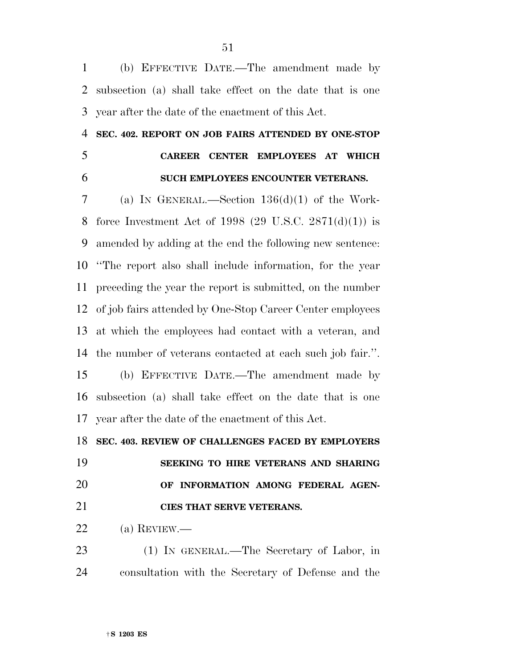(b) EFFECTIVE DATE.—The amendment made by subsection (a) shall take effect on the date that is one year after the date of the enactment of this Act.

## **SEC. 402. REPORT ON JOB FAIRS ATTENDED BY ONE-STOP**

## **CAREER CENTER EMPLOYEES AT WHICH SUCH EMPLOYEES ENCOUNTER VETERANS.**

 (a) IN GENERAL.—Section 136(d)(1) of the Work- force Investment Act of 1998 (29 U.S.C. 2871(d)(1)) is amended by adding at the end the following new sentence: ''The report also shall include information, for the year preceding the year the report is submitted, on the number of job fairs attended by One-Stop Career Center employees at which the employees had contact with a veteran, and the number of veterans contacted at each such job fair.''. (b) EFFECTIVE DATE.—The amendment made by subsection (a) shall take effect on the date that is one year after the date of the enactment of this Act.

## **SEC. 403. REVIEW OF CHALLENGES FACED BY EMPLOYERS**

 **SEEKING TO HIRE VETERANS AND SHARING OF INFORMATION AMONG FEDERAL AGEN-CIES THAT SERVE VETERANS.** 

(a) REVIEW.—

 (1) IN GENERAL.—The Secretary of Labor, in consultation with the Secretary of Defense and the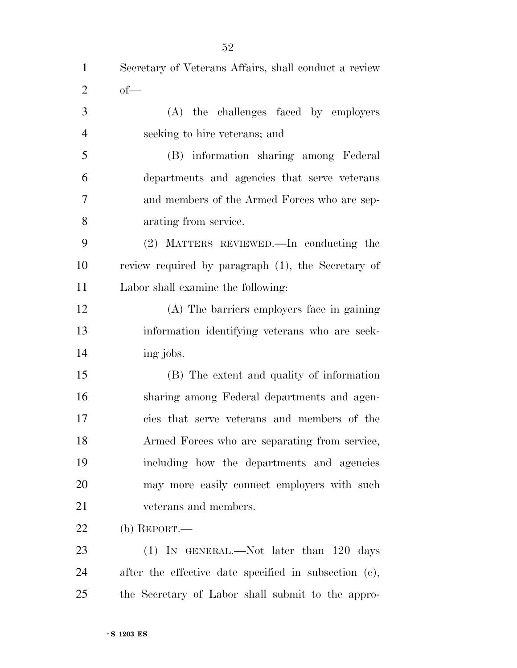| $\mathbf{1}$   | Secretary of Veterans Affairs, shall conduct a review |
|----------------|-------------------------------------------------------|
| $\overline{2}$ | $of$ —                                                |
| 3              | (A) the challenges faced by employers                 |
| $\overline{4}$ | seeking to hire veterans; and                         |
| 5              | (B) information sharing among Federal                 |
| 6              | departments and agencies that serve veterans          |
| $\overline{7}$ | and members of the Armed Forces who are sep-          |
| 8              | arating from service.                                 |
| 9              | (2) MATTERS REVIEWED.—In conducting the               |
| 10             | review required by paragraph (1), the Secretary of    |
| 11             | Labor shall examine the following:                    |
| 12             | (A) The barriers employers face in gaining            |
| 13             | information identifying veterans who are seek-        |
| 14             | ing jobs.                                             |
| 15             | (B) The extent and quality of information             |
| 16             | sharing among Federal departments and agen-           |
| 17             | cies that serve veterans and members of the           |
| 18             | Armed Forces who are separating from service,         |
| 19             | including how the departments and agencies            |
| 20             | may more easily connect employers with such           |
| 21             | veterans and members.                                 |
| 22             | $(b)$ REPORT.—                                        |
| 23             | $(1)$ IN GENERAL.—Not later than 120 days             |
| 24             | after the effective date specified in subsection (c), |

the Secretary of Labor shall submit to the appro-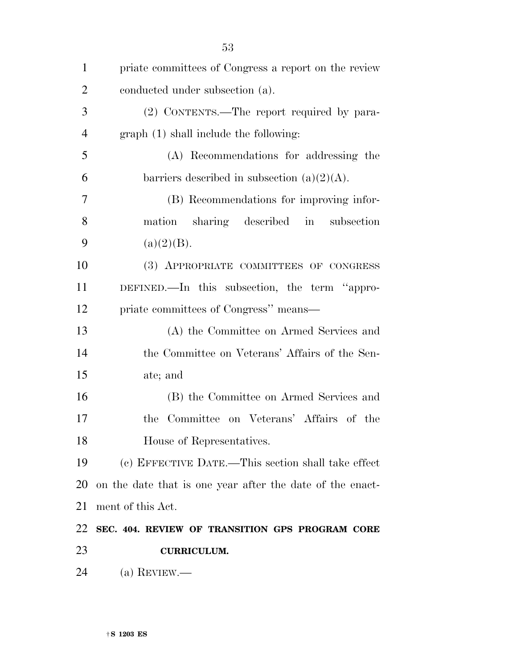| $\mathbf{1}$   | priate committees of Congress a report on the review      |
|----------------|-----------------------------------------------------------|
| $\overline{2}$ | conducted under subsection (a).                           |
| 3              | (2) CONTENTS.—The report required by para-                |
| $\overline{4}$ | graph (1) shall include the following:                    |
| 5              | (A) Recommendations for addressing the                    |
| 6              | barriers described in subsection $(a)(2)(A)$ .            |
| 7              | (B) Recommendations for improving infor-                  |
| 8              | mation sharing described in subsection                    |
| 9              | (a)(2)(B).                                                |
| 10             | (3) APPROPRIATE COMMITTEES OF CONGRESS                    |
| 11             | DEFINED.—In this subsection, the term "appro-             |
| 12             | priate committees of Congress" means—                     |
| 13             | (A) the Committee on Armed Services and                   |
| 14             | the Committee on Veterans' Affairs of the Sen-            |
| 15             | ate; and                                                  |
| 16             | (B) the Committee on Armed Services and                   |
| 17             | Committee on Veterans' Affairs of the<br>the              |
| 18             | House of Representatives.                                 |
| 19             | (c) EFFECTIVE DATE.—This section shall take effect        |
| 20             | on the date that is one year after the date of the enact- |
| 21             | ment of this Act.                                         |
| 22             | SEC. 404. REVIEW OF TRANSITION GPS PROGRAM CORE           |
| 23             | <b>CURRICULUM.</b>                                        |
| 24             | (a) REVIEW.—                                              |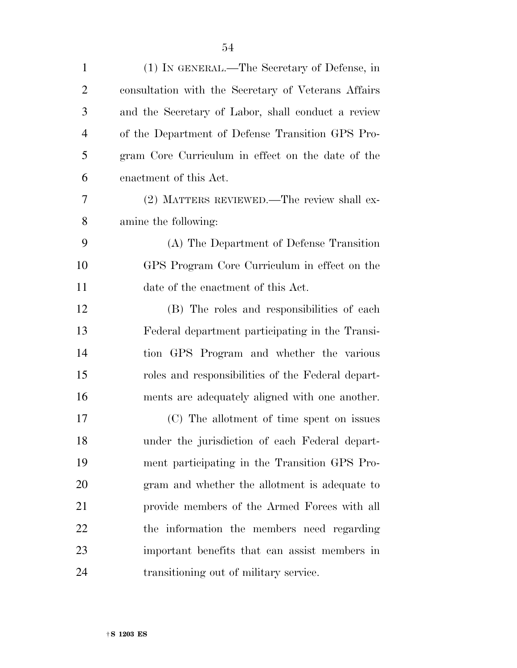| $\mathbf{1}$   | (1) IN GENERAL.—The Secretary of Defense, in        |
|----------------|-----------------------------------------------------|
| $\overline{2}$ | consultation with the Secretary of Veterans Affairs |
| 3              | and the Secretary of Labor, shall conduct a review  |
| $\overline{4}$ | of the Department of Defense Transition GPS Pro-    |
| 5              | gram Core Curriculum in effect on the date of the   |
| 6              | enactment of this Act.                              |
| 7              | (2) MATTERS REVIEWED.—The review shall ex-          |
| 8              | amine the following:                                |
| 9              | (A) The Department of Defense Transition            |
| 10             | GPS Program Core Curriculum in effect on the        |
| 11             | date of the enactment of this Act.                  |
| 12             | (B) The roles and responsibilities of each          |
| 13             | Federal department participating in the Transi-     |
| 14             | tion GPS Program and whether the various            |
| 15             | roles and responsibilities of the Federal depart-   |
| 16             | ments are adequately aligned with one another.      |
| 17             | (C) The allotment of time spent on issues           |
| 18             | under the jurisdiction of each Federal depart-      |
| 19             | ment participating in the Transition GPS Pro-       |
| 20             | gram and whether the allotment is adequate to       |
| 21             | provide members of the Armed Forces with all        |
| 22             | the information the members need regarding          |
| 23             | important benefits that can assist members in       |
| 24             | transitioning out of military service.              |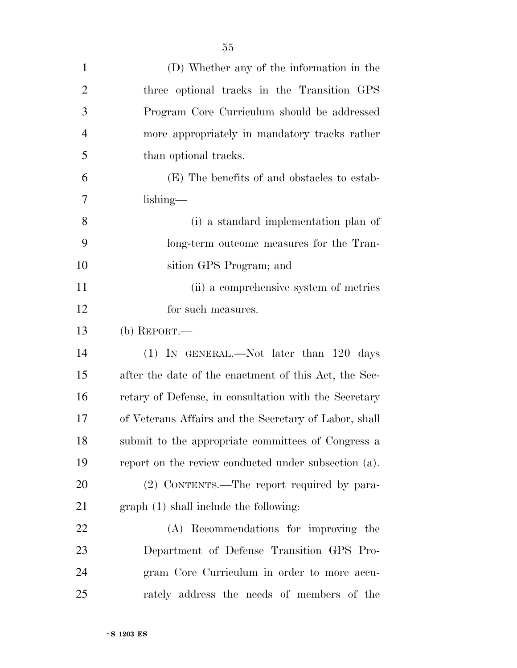| $\mathbf{1}$   | (D) Whether any of the information in the             |
|----------------|-------------------------------------------------------|
| $\overline{2}$ | three optional tracks in the Transition GPS           |
| 3              | Program Core Curriculum should be addressed           |
| $\overline{4}$ | more appropriately in mandatory tracks rather         |
| 5              | than optional tracks.                                 |
| 6              | (E) The benefits of and obstacles to estab-           |
| 7              | $\lambda$                                             |
| 8              | (i) a standard implementation plan of                 |
| 9              | long-term outcome measures for the Tran-              |
| 10             | sition GPS Program; and                               |
| 11             | (ii) a comprehensive system of metrics                |
| 12             | for such measures.                                    |
| 13             | (b) REPORT.—                                          |
| 14             | (1) IN GENERAL.—Not later than 120 days               |
| 15             | after the date of the enactment of this Act, the Sec- |
| 16             | retary of Defense, in consultation with the Secretary |
| 17             | of Veterans Affairs and the Secretary of Labor, shall |
| 18             | submit to the appropriate committees of Congress a    |
| 19             | report on the review conducted under subsection (a).  |
| 20             | (2) CONTENTS.—The report required by para-            |
| 21             | graph (1) shall include the following:                |
| 22             | (A) Recommendations for improving the                 |
| 23             | Department of Defense Transition GPS Pro-             |
| 24             | gram Core Curriculum in order to more accu-           |
| 25             | rately address the needs of members of the            |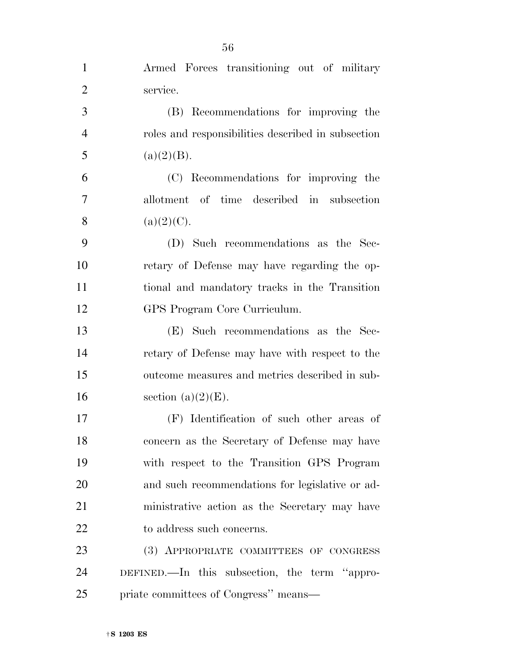| $\mathbf{1}$   | Armed Forces transitioning out of military         |
|----------------|----------------------------------------------------|
| $\overline{2}$ | service.                                           |
| 3              | (B) Recommendations for improving the              |
| $\overline{4}$ | roles and responsibilities described in subsection |
| 5              | (a)(2)(B).                                         |
| 6              | (C) Recommendations for improving the              |
| 7              | allotment of time described in subsection          |
| 8              | $(a)(2)(C)$ .                                      |
| 9              | (D) Such recommendations as the Sec-               |
| 10             | retary of Defense may have regarding the op-       |
| 11             | tional and mandatory tracks in the Transition      |
| 12             | GPS Program Core Curriculum.                       |
| 13             | (E) Such recommendations as the Sec-               |
| 14             | retary of Defense may have with respect to the     |
| 15             | outcome measures and metrics described in sub-     |
| 16             | section $(a)(2)(E)$ .                              |
| 17             | (F) Identification of such other areas of          |
| 18             | concern as the Secretary of Defense may have       |
| 19             | with respect to the Transition GPS Program         |
| 20             | and such recommendations for legislative or ad-    |
| 21             | ministrative action as the Secretary may have      |
| 22             | to address such concerns.                          |
| 23             | (3) APPROPRIATE COMMITTEES OF CONGRESS             |
| 24             | DEFINED.—In this subsection, the term "appro-      |
| 25             | priate committees of Congress" means-              |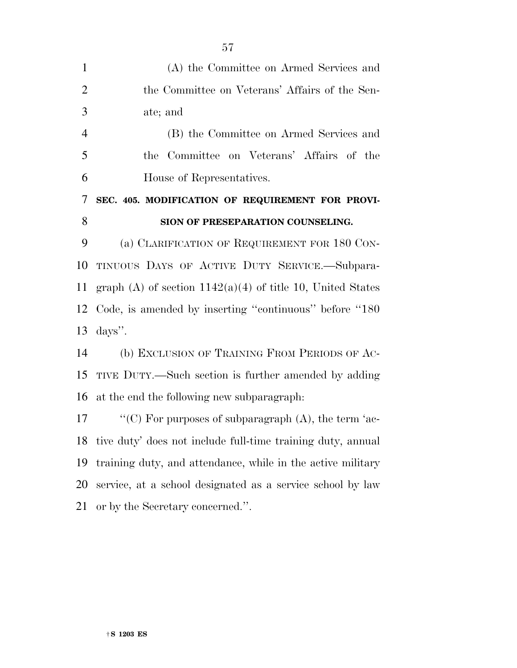| $\mathbf{1}$   | (A) the Committee on Armed Services and                      |
|----------------|--------------------------------------------------------------|
| $\overline{2}$ | the Committee on Veterans' Affairs of the Sen-               |
| 3              | ate; and                                                     |
| $\overline{4}$ | (B) the Committee on Armed Services and                      |
| 5              | the Committee on Veterans' Affairs of the                    |
| 6              | House of Representatives.                                    |
| 7              | SEC. 405. MODIFICATION OF REQUIREMENT FOR PROVI-             |
| 8              | SION OF PRESEPARATION COUNSELING.                            |
| 9              | (a) CLARIFICATION OF REQUIREMENT FOR 180 CON-                |
| 10             | TINUOUS DAYS OF ACTIVE DUTY SERVICE.—Subpara-                |
| 11             | graph (A) of section $1142(a)(4)$ of title 10, United States |
| 12             | Code, is amended by inserting "continuous" before "180       |
| 13             | $\langle \text{days}'' \rangle$ .                            |
| 14             | (b) EXCLUSION OF TRAINING FROM PERIODS OF AC-                |
| 15             | TIVE DUTY.—Such section is further amended by adding         |
| 16             | at the end the following new subparagraph:                   |
| 17             | "(C) For purposes of subparagraph $(A)$ , the term 'ac-      |
| 18             | tive duty' does not include full-time training duty, annual  |
| 19             | training duty, and attendance, while in the active military  |
| 20             | service, at a school designated as a service school by law   |
| 21             | or by the Secretary concerned.".                             |
|                |                                                              |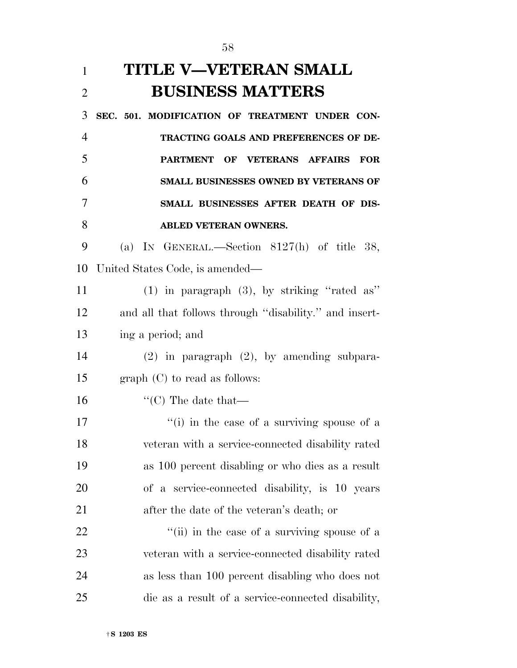| $\mathbf{1}$   | TITLE V—VETERAN SMALL                                  |
|----------------|--------------------------------------------------------|
| $\overline{2}$ | <b>BUSINESS MATTERS</b>                                |
| 3              | SEC. 501. MODIFICATION OF TREATMENT UNDER CON-         |
| $\overline{4}$ | TRACTING GOALS AND PREFERENCES OF DE-                  |
| 5              | <b>PARTMENT</b><br>OF VETERANS AFFAIRS<br><b>FOR</b>   |
| 6              | SMALL BUSINESSES OWNED BY VETERANS OF                  |
| 7              | SMALL BUSINESSES AFTER DEATH OF DIS-                   |
| 8              | <b>ABLED VETERAN OWNERS.</b>                           |
| 9              | (a) IN GENERAL.—Section $8127(h)$ of title 38,         |
| 10             | United States Code, is amended—                        |
| 11             | $(1)$ in paragraph $(3)$ , by striking "rated as"      |
| 12             | and all that follows through "disability." and insert- |
| 13             | ing a period; and                                      |
| 14             | $(2)$ in paragraph $(2)$ , by amending subpara-        |
| 15             | $graph (C)$ to read as follows:                        |
| 16             | $\lq\lq$ (C) The date that —                           |
| 17             | "(i) in the case of a surviving spouse of a            |
| 18             | veteran with a service-connected disability rated      |
| 19             | as 100 percent disabling or who dies as a result       |
| <b>20</b>      | of a service-connected disability, is 10 years         |
| 21             | after the date of the veteran's death; or              |
| 22             | "(ii) in the case of a surviving spouse of a           |
| 23             | veteran with a service-connected disability rated      |
| 24             | as less than 100 percent disabling who does not        |
| 25             | die as a result of a service-connected disability,     |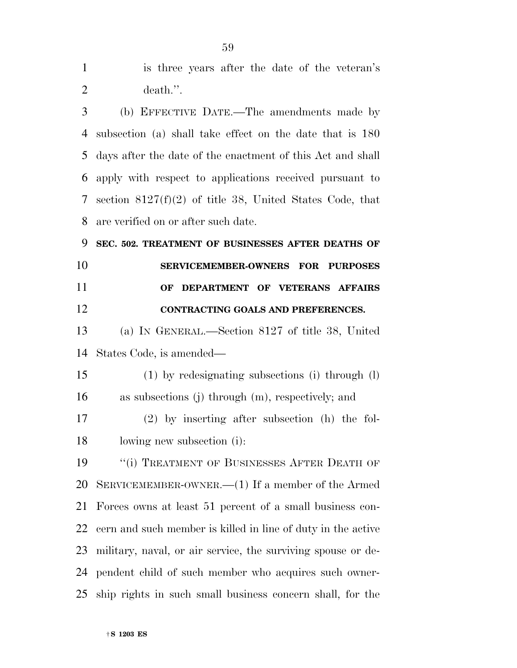| $\mathbf{1}$   | is three years after the date of the veteran's               |
|----------------|--------------------------------------------------------------|
| $\overline{2}$ | death.".                                                     |
| 3              | (b) EFFECTIVE DATE.—The amendments made by                   |
| 4              | subsection (a) shall take effect on the date that is 180     |
| 5              | days after the date of the enactment of this Act and shall   |
| 6              | apply with respect to applications received pursuant to      |
| 7              | section $8127(f)(2)$ of title 38, United States Code, that   |
| 8              | are verified on or after such date.                          |
| 9              | SEC. 502. TREATMENT OF BUSINESSES AFTER DEATHS OF            |
| 10             | SERVICEMEMBER-OWNERS FOR PURPOSES                            |
| 11             | DEPARTMENT OF VETERANS AFFAIRS<br>OF                         |
| 12             | CONTRACTING GOALS AND PREFERENCES.                           |
| 13             | (a) IN GENERAL.—Section 8127 of title 38, United             |
| 14             | States Code, is amended—                                     |
| 15             | (1) by redesignating subsections (i) through (1)             |
| 16             | as subsections (j) through (m), respectively; and            |
| 17             | $(2)$ by inserting after subsection (h) the fol-             |
| 18             | lowing new subsection (i):                                   |
| 19             | "(i) TREATMENT OF BUSINESSES AFTER DEATH OF                  |
| 20             | SERVICEMEMBER-OWNER.— $(1)$ If a member of the Armed         |
| 21             | Forces owns at least 51 percent of a small business con-     |
| 22             | cern and such member is killed in line of duty in the active |
| 23             | military, naval, or air service, the surviving spouse or de- |
| 24             | pendent child of such member who acquires such owner-        |
| 25             | ship rights in such small business concern shall, for the    |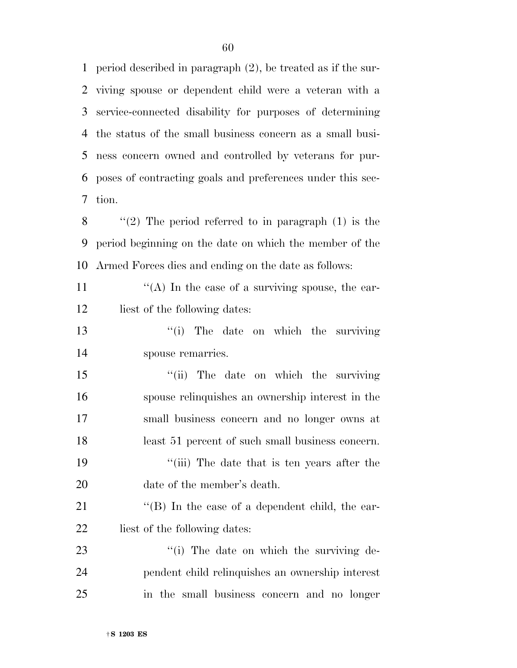period described in paragraph (2), be treated as if the sur- viving spouse or dependent child were a veteran with a service-connected disability for purposes of determining the status of the small business concern as a small busi- ness concern owned and controlled by veterans for pur- poses of contracting goals and preferences under this sec-tion.

8  $\langle$  (2) The period referred to in paragraph (1) is the period beginning on the date on which the member of the Armed Forces dies and ending on the date as follows:

11  $\langle (A) \rangle$  In the case of a surviving spouse, the ear-12 liest of the following dates:

13 ''(i) The date on which the surviving spouse remarries.

15 "(ii) The date on which the surviving spouse relinquishes an ownership interest in the small business concern and no longer owns at least 51 percent of such small business concern. ''(iii) The date that is ten years after the 20 date of the member's death.

21 ''(B) In the case of a dependent child, the ear-22 liest of the following dates:

23  $\frac{1}{2}$  The date on which the surviving de- pendent child relinquishes an ownership interest in the small business concern and no longer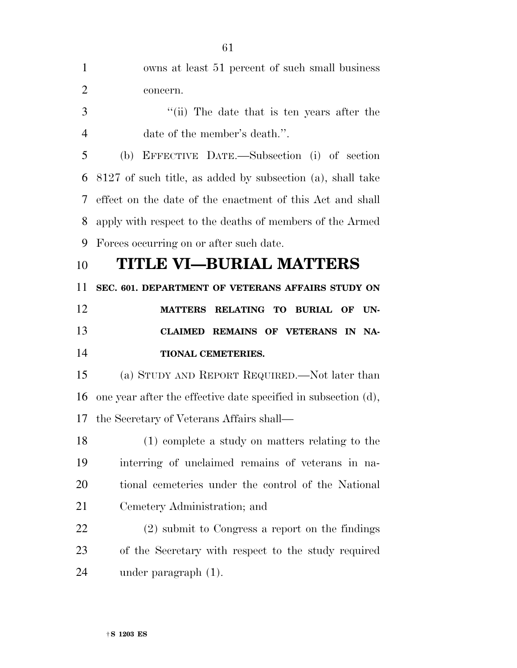| 1              | owns at least 51 percent of such small business                |
|----------------|----------------------------------------------------------------|
| $\overline{2}$ | concern.                                                       |
| 3              | "(ii) The date that is ten years after the                     |
| $\overline{4}$ | date of the member's death.".                                  |
| 5              | EFFECTIVE DATE.—Subsection (i) of section<br>(b)               |
| 6              | 8127 of such title, as added by subsection (a), shall take     |
| 7              | effect on the date of the enactment of this Act and shall      |
| 8              | apply with respect to the deaths of members of the Armed       |
| 9              | Forces occurring on or after such date.                        |
| 10             | TITLE VI–BURIAL MATTERS                                        |
| 11             | SEC. 601. DEPARTMENT OF VETERANS AFFAIRS STUDY ON              |
| 12             | MATTERS RELATING TO BURIAL OF<br>UN-                           |
|                |                                                                |
| 13             | CLAIMED REMAINS OF VETERANS IN NA-                             |
| 14             | <b>TIONAL CEMETERIES.</b>                                      |
| 15             | (a) STUDY AND REPORT REQUIRED.—Not later than                  |
| 16             | one year after the effective date specified in subsection (d), |
| 17             | the Secretary of Veterans Affairs shall—                       |
| 18             | (1) complete a study on matters relating to the                |
| 19             | interring of unclaimed remains of veterans in na-              |
| 20             | tional cemeteries under the control of the National            |
| 21             | Cemetery Administration; and                                   |
| 22             | (2) submit to Congress a report on the findings                |
| 23             | of the Secretary with respect to the study required            |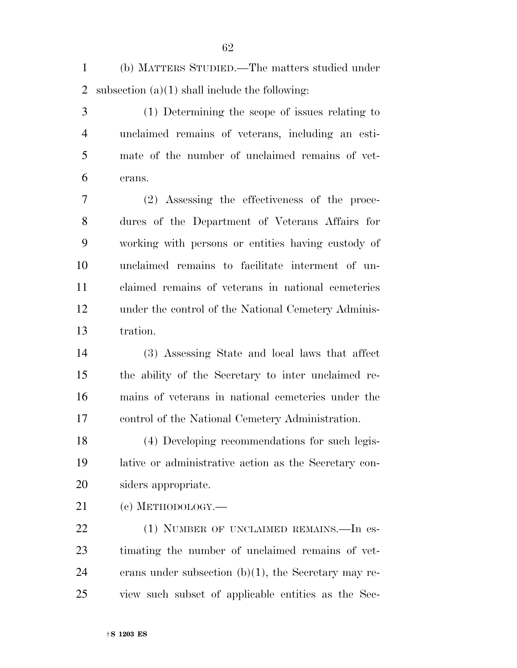(b) MATTERS STUDIED.—The matters studied under 2 subsection  $(a)(1)$  shall include the following:

 (1) Determining the scope of issues relating to unclaimed remains of veterans, including an esti- mate of the number of unclaimed remains of vet-erans.

 (2) Assessing the effectiveness of the proce- dures of the Department of Veterans Affairs for working with persons or entities having custody of unclaimed remains to facilitate interment of un- claimed remains of veterans in national cemeteries under the control of the National Cemetery Adminis-tration.

 (3) Assessing State and local laws that affect the ability of the Secretary to inter unclaimed re- mains of veterans in national cemeteries under the control of the National Cemetery Administration.

 (4) Developing recommendations for such legis- lative or administrative action as the Secretary con-siders appropriate.

(c) METHODOLOGY.—

22 (1) NUMBER OF UNCLAIMED REMAINS. In es- timating the number of unclaimed remains of vet-24 erans under subsection  $(b)(1)$ , the Secretary may re-view such subset of applicable entities as the Sec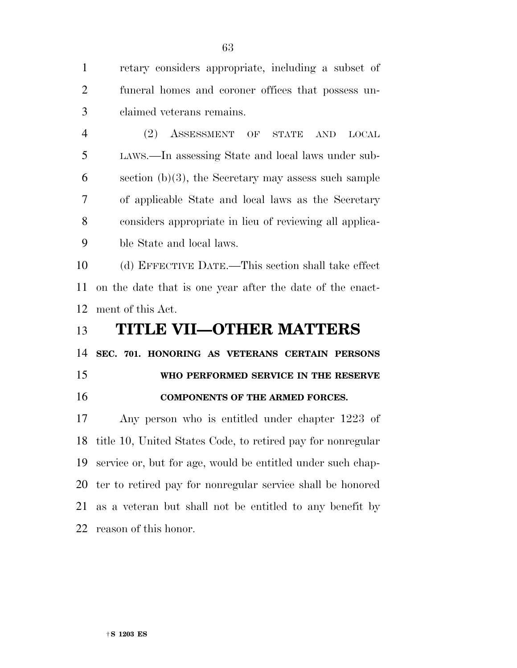retary considers appropriate, including a subset of funeral homes and coroner offices that possess un-claimed veterans remains.

 (2) ASSESSMENT OF STATE AND LOCAL LAWS.—In assessing State and local laws under sub- section (b)(3), the Secretary may assess such sample of applicable State and local laws as the Secretary considers appropriate in lieu of reviewing all applica-ble State and local laws.

 (d) EFFECTIVE DATE.—This section shall take effect on the date that is one year after the date of the enact-ment of this Act.

## **TITLE VII—OTHER MATTERS**

**SEC. 701. HONORING AS VETERANS CERTAIN PERSONS** 

**WHO PERFORMED SERVICE IN THE RESERVE** 

## **COMPONENTS OF THE ARMED FORCES.**

 Any person who is entitled under chapter 1223 of title 10, United States Code, to retired pay for nonregular service or, but for age, would be entitled under such chap- ter to retired pay for nonregular service shall be honored as a veteran but shall not be entitled to any benefit by reason of this honor.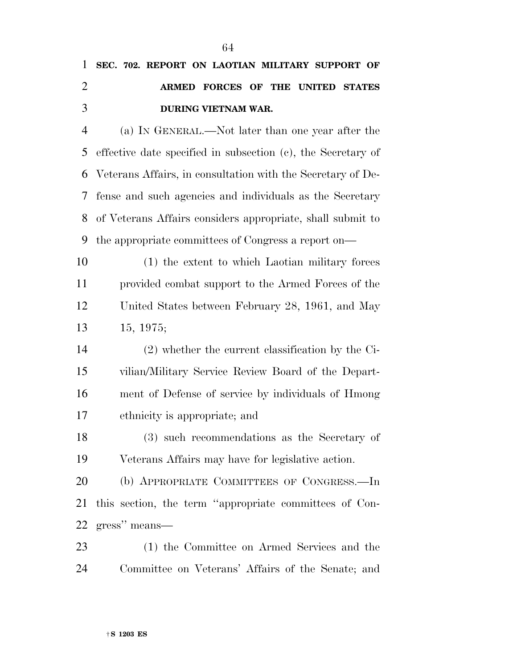## **SEC. 702. REPORT ON LAOTIAN MILITARY SUPPORT OF ARMED FORCES OF THE UNITED STATES DURING VIETNAM WAR.**

 (a) IN GENERAL.—Not later than one year after the effective date specified in subsection (c), the Secretary of Veterans Affairs, in consultation with the Secretary of De- fense and such agencies and individuals as the Secretary of Veterans Affairs considers appropriate, shall submit to the appropriate committees of Congress a report on—

 (1) the extent to which Laotian military forces provided combat support to the Armed Forces of the United States between February 28, 1961, and May 15, 1975;

 (2) whether the current classification by the Ci- vilian/Military Service Review Board of the Depart- ment of Defense of service by individuals of Hmong ethnicity is appropriate; and

 (3) such recommendations as the Secretary of Veterans Affairs may have for legislative action.

 (b) APPROPRIATE COMMITTEES OF CONGRESS.—In this section, the term ''appropriate committees of Con-gress'' means—

 (1) the Committee on Armed Services and the Committee on Veterans' Affairs of the Senate; and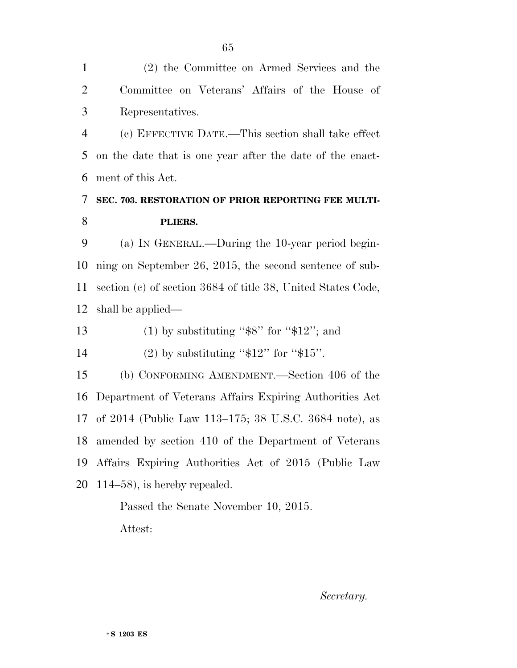(2) the Committee on Armed Services and the Committee on Veterans' Affairs of the House of Representatives. (c) EFFECTIVE DATE.—This section shall take effect on the date that is one year after the date of the enact- ment of this Act. **SEC. 703. RESTORATION OF PRIOR REPORTING FEE MULTI- PLIERS.**  (a) IN GENERAL.—During the 10-year period begin- ning on September 26, 2015, the second sentence of sub- section (c) of section 3684 of title 38, United States Code, shall be applied— 13 (1) by substituting " $\$ 8" for " $\frac{12}{3}$ ; and 14 (2) by substituting " $$12"$  for " $$15"$ . (b) CONFORMING AMENDMENT.—Section 406 of the Department of Veterans Affairs Expiring Authorities Act of 2014 (Public Law 113–175; 38 U.S.C. 3684 note), as amended by section 410 of the Department of Veterans Affairs Expiring Authorities Act of 2015 (Public Law 114–58), is hereby repealed. Passed the Senate November 10, 2015. Attest:

*Secretary.*